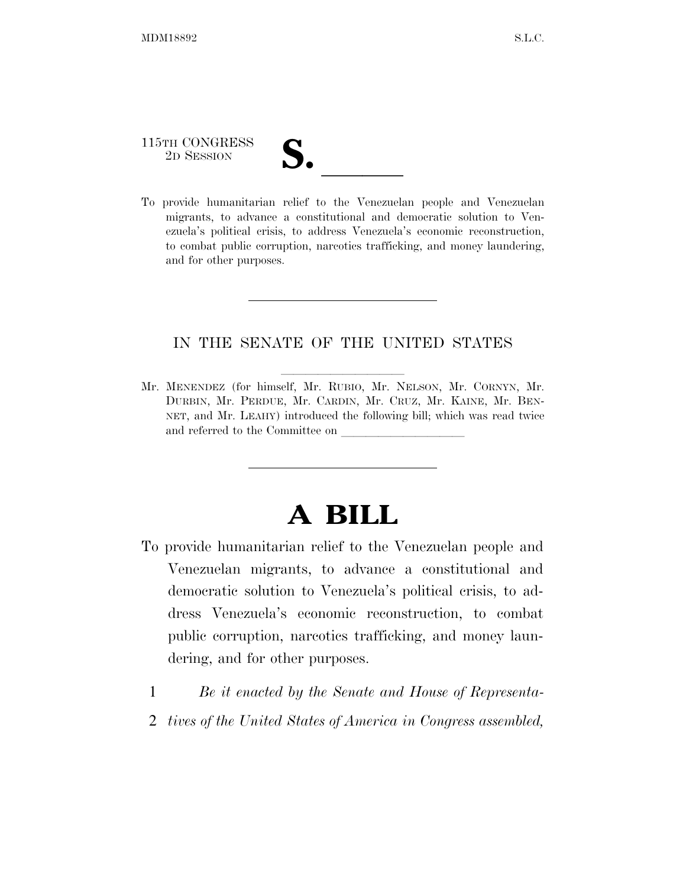# 115TH CONGRESS

115TH CONGRESS<br>
2D SESSION<br>
To provide humanitarian relief to the Venezuelan people and Venezuelan migrants, to advance a constitutional and democratic solution to Venezuela's political crisis, to address Venezuela's economic reconstruction, to combat public corruption, narcotics trafficking, and money laundering, and for other purposes.

### IN THE SENATE OF THE UNITED STATES

Mr. MENENDEZ (for himself, Mr. RUBIO, Mr. NELSON, Mr. CORNYN, Mr. DURBIN, Mr. PERDUE, Mr. CARDIN, Mr. CRUZ, Mr. KAINE, Mr. BEN-NET, and Mr. LEAHY) introduced the following bill; which was read twice and referred to the Committee on

## **A BILL**

- To provide humanitarian relief to the Venezuelan people and Venezuelan migrants, to advance a constitutional and democratic solution to Venezuela's political crisis, to address Venezuela's economic reconstruction, to combat public corruption, narcotics trafficking, and money laundering, and for other purposes.
	- 1 *Be it enacted by the Senate and House of Representa-*
	- 2 *tives of the United States of America in Congress assembled,*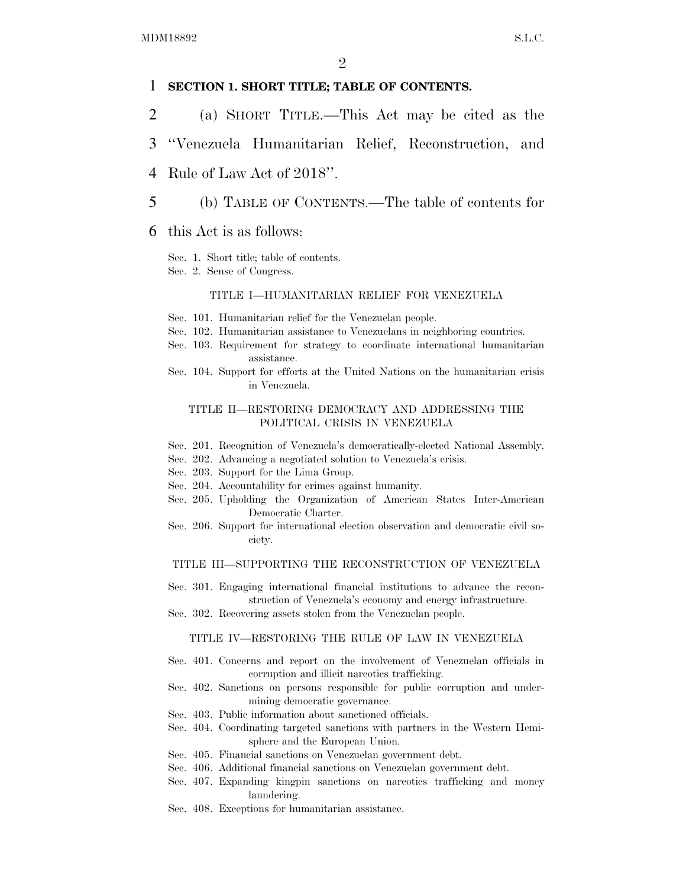### 1 **SECTION 1. SHORT TITLE; TABLE OF CONTENTS.**

- 2 (a) SHORT TITLE.—This Act may be cited as the
- 3 ''Venezuela Humanitarian Relief, Reconstruction, and
- 4 Rule of Law Act of 2018''.
- 5 (b) TABLE OF CONTENTS.—The table of contents for
- 6 this Act is as follows:
	- Sec. 1. Short title; table of contents.
	- Sec. 2. Sense of Congress.

### TITLE I—HUMANITARIAN RELIEF FOR VENEZUELA

- Sec. 101. Humanitarian relief for the Venezuelan people.
- Sec. 102. Humanitarian assistance to Venezuelans in neighboring countries.
- Sec. 103. Requirement for strategy to coordinate international humanitarian assistance.
- Sec. 104. Support for efforts at the United Nations on the humanitarian crisis in Venezuela.

#### TITLE II—RESTORING DEMOCRACY AND ADDRESSING THE POLITICAL CRISIS IN VENEZUELA

- Sec. 201. Recognition of Venezuela's democratically-elected National Assembly.
- Sec. 202. Advancing a negotiated solution to Venezuela's crisis.
- Sec. 203. Support for the Lima Group.
- Sec. 204. Accountability for crimes against humanity.
- Sec. 205. Upholding the Organization of American States Inter-American Democratic Charter.
- Sec. 206. Support for international election observation and democratic civil society.

#### TITLE III—SUPPORTING THE RECONSTRUCTION OF VENEZUELA

- Sec. 301. Engaging international financial institutions to advance the reconstruction of Venezuela's economy and energy infrastructure.
- Sec. 302. Recovering assets stolen from the Venezuelan people.

#### TITLE IV—RESTORING THE RULE OF LAW IN VENEZUELA

- Sec. 401. Concerns and report on the involvement of Venezuelan officials in corruption and illicit narcotics trafficking.
- Sec. 402. Sanctions on persons responsible for public corruption and undermining democratic governance.
- Sec. 403. Public information about sanctioned officials.
- Sec. 404. Coordinating targeted sanctions with partners in the Western Hemisphere and the European Union.
- Sec. 405. Financial sanctions on Venezuelan government debt.
- Sec. 406. Additional financial sanctions on Venezuelan government debt.
- Sec. 407. Expanding kingpin sanctions on narcotics trafficking and money laundering.
- Sec. 408. Exceptions for humanitarian assistance.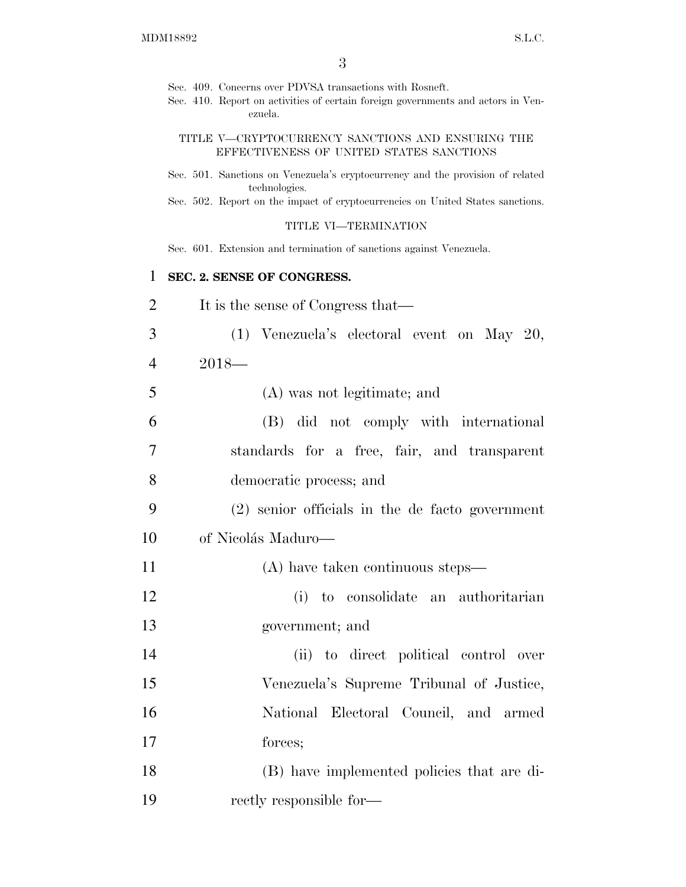Sec. 409. Concerns over PDVSA transactions with Rosneft.

Sec. 410. Report on activities of certain foreign governments and actors in Venezuela.

### TITLE V—CRYPTOCURRENCY SANCTIONS AND ENSURING THE EFFECTIVENESS OF UNITED STATES SANCTIONS

- Sec. 501. Sanctions on Venezuela's cryptocurrency and the provision of related technologies.
- Sec. 502. Report on the impact of cryptocurrencies on United States sanctions.

### TITLE VI—TERMINATION

Sec. 601. Extension and termination of sanctions against Venezuela.

### 1 **SEC. 2. SENSE OF CONGRESS.**

- 2 It is the sense of Congress that—
- 3 (1) Venezuela's electoral event on May 20, 4 2018—

5 (A) was not legitimate; and

| -6 | (B) did not comply with international       |
|----|---------------------------------------------|
|    | standards for a free, fair, and transparent |
| -8 | democratic process; and                     |

9 (2) senior officials in the de facto government 10 of Nicolás Maduro—

- 11 (A) have taken continuous steps—
- 12 (i) to consolidate an authoritarian 13 government; and
- 14 (ii) to direct political control over 15 Venezuela's Supreme Tribunal of Justice, 16 National Electoral Council, and armed 17 forces;

18 (B) have implemented policies that are di-19 rectly responsible for—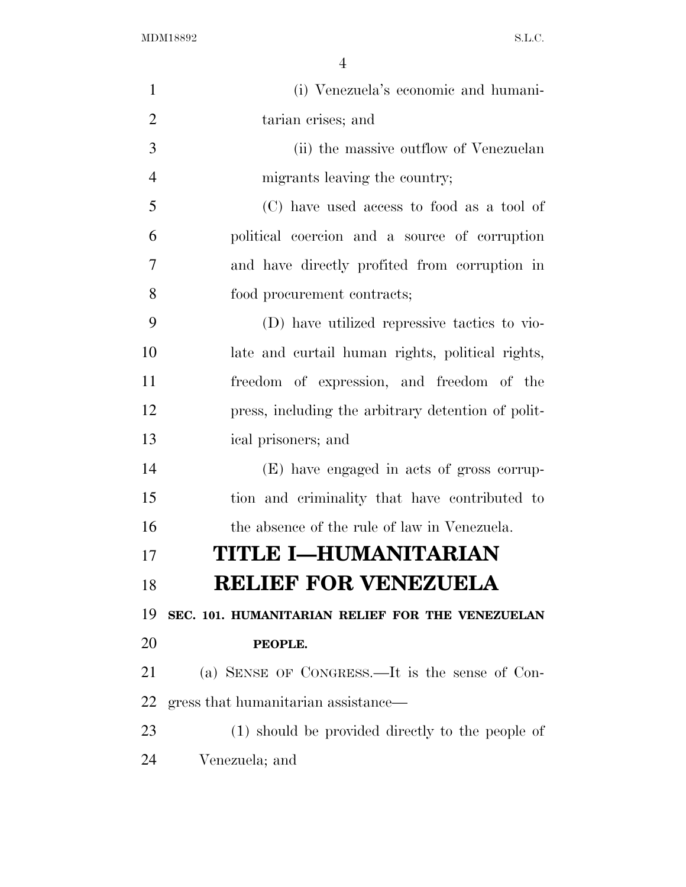(i) Venezuela's economic and humani- tarian crises; and (ii) the massive outflow of Venezuelan migrants leaving the country; (C) have used access to food as a tool of political coercion and a source of corruption and have directly profited from corruption in food procurement contracts; (D) have utilized repressive tactics to vio- late and curtail human rights, political rights, freedom of expression, and freedom of the press, including the arbitrary detention of polit- ical prisoners; and (E) have engaged in acts of gross corrup- tion and criminality that have contributed to the absence of the rule of law in Venezuela. **TITLE I—HUMANITARIAN RELIEF FOR VENEZUELA SEC. 101. HUMANITARIAN RELIEF FOR THE VENEZUELAN PEOPLE.**  (a) SENSE OF CONGRESS.—It is the sense of Con- gress that humanitarian assistance— (1) should be provided directly to the people of Venezuela; and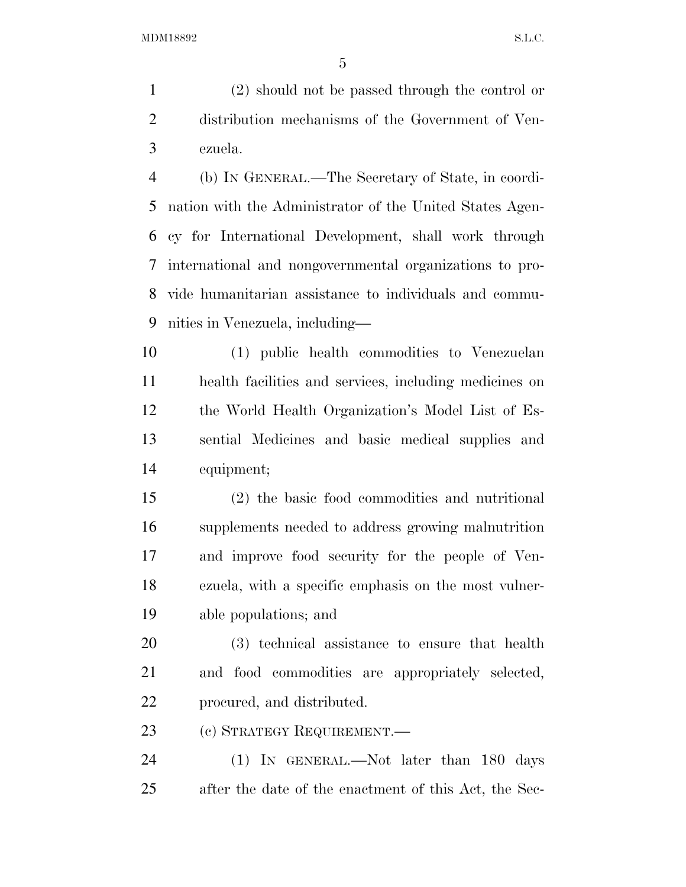(2) should not be passed through the control or distribution mechanisms of the Government of Ven-ezuela.

 (b) IN GENERAL.—The Secretary of State, in coordi- nation with the Administrator of the United States Agen- cy for International Development, shall work through international and nongovernmental organizations to pro- vide humanitarian assistance to individuals and commu-nities in Venezuela, including—

 (1) public health commodities to Venezuelan health facilities and services, including medicines on the World Health Organization's Model List of Es- sential Medicines and basic medical supplies and equipment;

 (2) the basic food commodities and nutritional supplements needed to address growing malnutrition and improve food security for the people of Ven- ezuela, with a specific emphasis on the most vulner-able populations; and

 (3) technical assistance to ensure that health and food commodities are appropriately selected, procured, and distributed.

(c) STRATEGY REQUIREMENT.—

 (1) IN GENERAL.—Not later than 180 days after the date of the enactment of this Act, the Sec-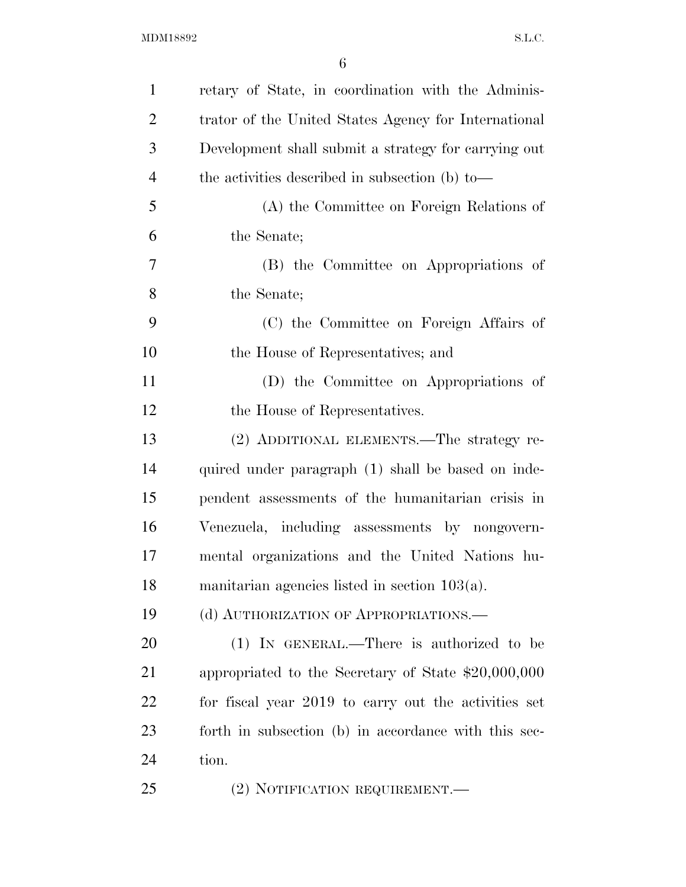| $\mathbf{1}$   | retary of State, in coordination with the Adminis-   |
|----------------|------------------------------------------------------|
| $\overline{2}$ | trator of the United States Agency for International |
| 3              | Development shall submit a strategy for carrying out |
| $\overline{4}$ | the activities described in subsection (b) to-       |
| 5              | (A) the Committee on Foreign Relations of            |
| 6              | the Senate;                                          |
| 7              | (B) the Committee on Appropriations of               |
| 8              | the Senate;                                          |
| 9              | (C) the Committee on Foreign Affairs of              |
| 10             | the House of Representatives; and                    |
| 11             | (D) the Committee on Appropriations of               |
| 12             | the House of Representatives.                        |
| 13             | (2) ADDITIONAL ELEMENTS.—The strategy re-            |
| 14             | quired under paragraph (1) shall be based on inde-   |
| 15             | pendent assessments of the humanitarian crisis in    |
| 16             | Venezuela, including assessments by nongovern-       |
| 17             | mental organizations and the United Nations hu-      |
| 18             | manitarian agencies listed in section $103(a)$ .     |
| 19             | (d) AUTHORIZATION OF APPROPRIATIONS.                 |
| 20             | $(1)$ IN GENERAL.—There is authorized to be          |
| 21             | appropriated to the Secretary of State $$20,000,000$ |
| 22             | for fiscal year 2019 to carry out the activities set |
| 23             | forth in subsection (b) in accordance with this sec- |
| 24             | tion.                                                |
| 25             | (2) NOTIFICATION REQUIREMENT.—                       |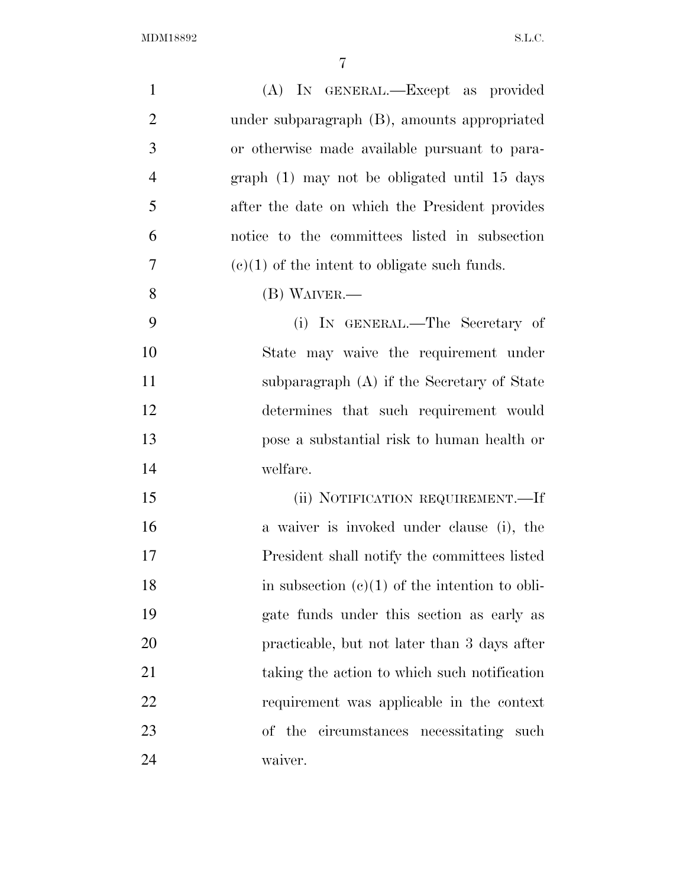| $\mathbf{1}$   | (A) IN GENERAL.—Except as provided               |
|----------------|--------------------------------------------------|
| $\overline{2}$ | under subparagraph (B), amounts appropriated     |
| 3              | or otherwise made available pursuant to para-    |
| $\overline{4}$ | graph (1) may not be obligated until 15 days     |
| 5              | after the date on which the President provides   |
| 6              | notice to the committees listed in subsection    |
| 7              | $(c)(1)$ of the intent to obligate such funds.   |
| 8              | (B) WAIVER.—                                     |
| 9              | (i) IN GENERAL.—The Secretary of                 |
| 10             | State may waive the requirement under            |
| 11             | subparagraph $(A)$ if the Secretary of State     |
| 12             | determines that such requirement would           |
| 13             | pose a substantial risk to human health or       |
| 14             | welfare.                                         |
| 15             | (ii) NOTIFICATION REQUIREMENT.—If                |
| 16             | a waiver is invoked under clause (i), the        |
| 17             | President shall notify the committees listed     |
| 18             | in subsection $(c)(1)$ of the intention to obli- |
| 19             | gate funds under this section as early as        |
| 20             | practicable, but not later than 3 days after     |
| 21             | taking the action to which such notification     |
| 22             | requirement was applicable in the context        |
| 23             | circumstances necessitating such<br>of the       |
| 24             | waiver.                                          |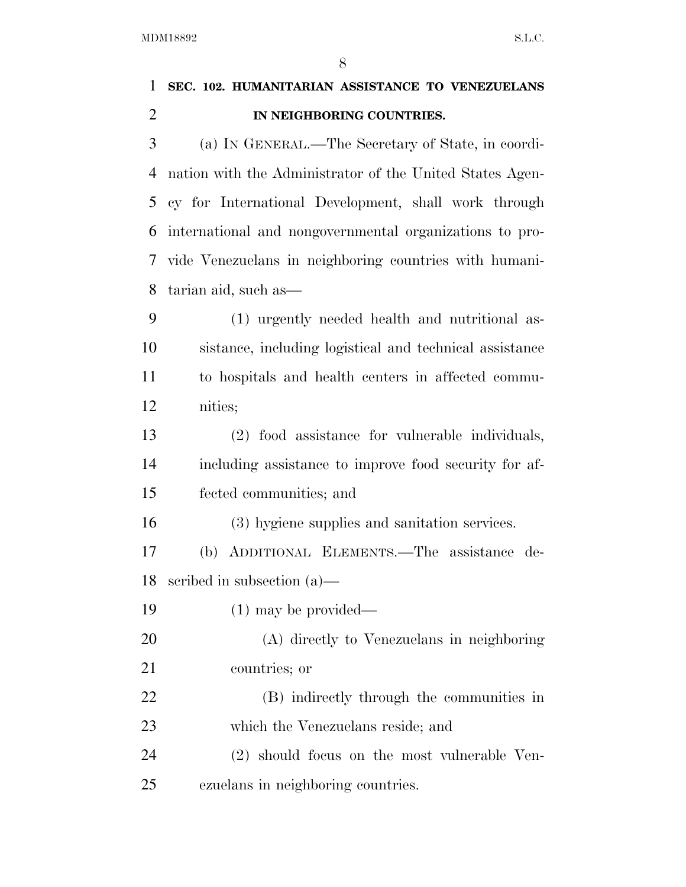| 1              | SEC. 102. HUMANITARIAN ASSISTANCE TO VENEZUELANS         |
|----------------|----------------------------------------------------------|
| $\overline{2}$ | IN NEIGHBORING COUNTRIES.                                |
| 3              | (a) IN GENERAL.—The Secretary of State, in coordi-       |
| 4              | nation with the Administrator of the United States Agen- |
| 5              | cy for International Development, shall work through     |
| 6              | international and nongovernmental organizations to pro-  |
| 7              | vide Venezuelans in neighboring countries with humani-   |
| 8              | tarian aid, such as—                                     |
| 9              | (1) urgently needed health and nutritional as-           |
| 10             | sistance, including logistical and technical assistance  |
| 11             | to hospitals and health centers in affected commu-       |
| 12             | nities;                                                  |
| 13             | (2) food assistance for vulnerable individuals,          |
| 14             | including assistance to improve food security for af-    |
| 15             | fected communities; and                                  |
| 16             | (3) hygiene supplies and sanitation services.            |
| 17             | (b) ADDITIONAL ELEMENTS.—The assistance de-              |
| 18             | scribed in subsection $(a)$ —                            |
| 19             | $(1)$ may be provided—                                   |
| 20             | (A) directly to Venezuelans in neighboring               |
| 21             | countries; or                                            |
| 22             | (B) indirectly through the communities in                |
| 23             | which the Venezuelans reside; and                        |
| 24             | (2) should focus on the most vulnerable Ven-             |
| 25             | ezuelans in neighboring countries.                       |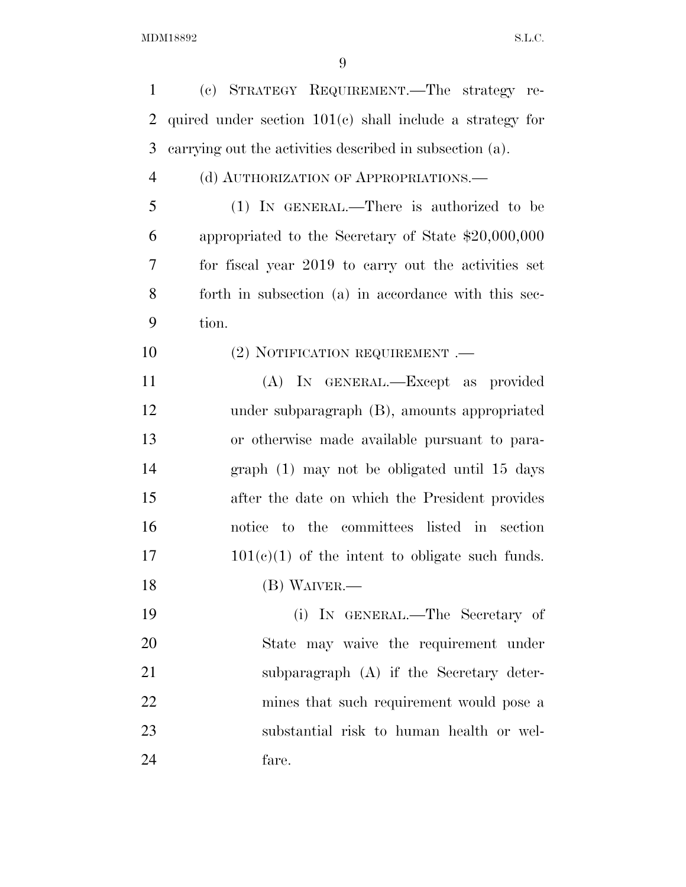| $\mathbf{1}$   | (c) STRATEGY REQUIREMENT.—The strategy re-                 |
|----------------|------------------------------------------------------------|
| 2              | quired under section $101(c)$ shall include a strategy for |
| 3              | carrying out the activities described in subsection (a).   |
| $\overline{4}$ | (d) AUTHORIZATION OF APPROPRIATIONS.—                      |
| 5              | $(1)$ IN GENERAL.—There is authorized to be                |
| 6              | appropriated to the Secretary of State \$20,000,000        |
| 7              | for fiscal year 2019 to carry out the activities set       |
| 8              | forth in subsection (a) in accordance with this sec-       |
| 9              | tion.                                                      |
| 10             | $(2)$ NOTIFICATION REQUIREMENT .—                          |
| 11             | (A) IN GENERAL.—Except as provided                         |
| 12             | under subparagraph (B), amounts appropriated               |
| 13             | or otherwise made available pursuant to para-              |
| 14             | graph (1) may not be obligated until 15 days               |
| 15             | after the date on which the President provides             |
| 16             | notice to the committees listed in section                 |
| 17             | $101(c)(1)$ of the intent to obligate such funds.          |
| 18             | $(B)$ WAIVER.—                                             |
| 19             | (i) IN GENERAL.—The Secretary of                           |
| 20             | State may waive the requirement under                      |
| 21             | subparagraph (A) if the Secretary deter-                   |
| 22             | mines that such requirement would pose a                   |
| 23             | substantial risk to human health or wel-                   |
| 24             | fare.                                                      |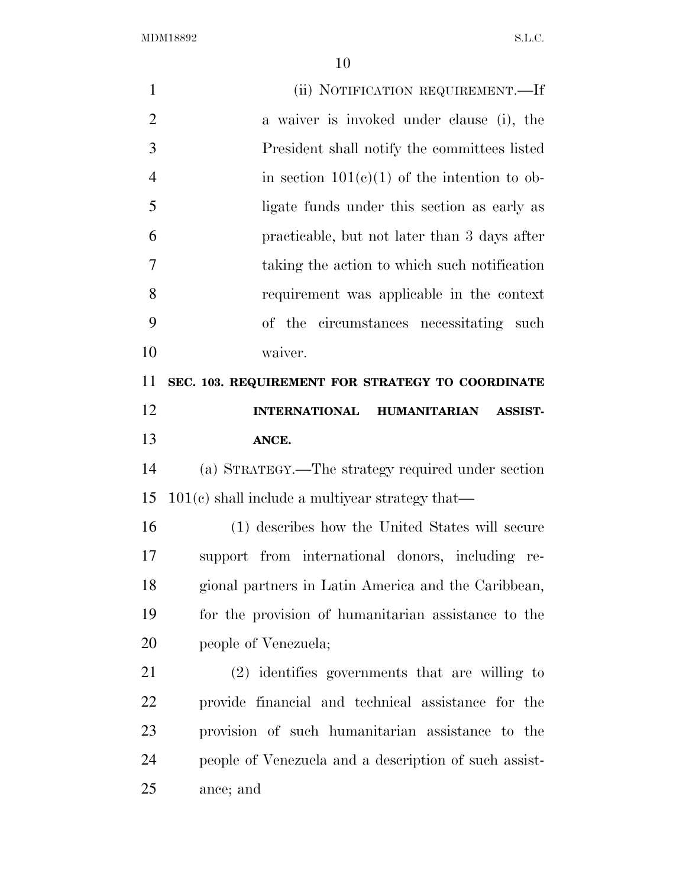| $\mathbf{1}$   | (ii) NOTIFICATION REQUIREMENT.—If                      |
|----------------|--------------------------------------------------------|
| $\overline{2}$ | a waiver is invoked under clause (i), the              |
| 3              | President shall notify the committees listed           |
| $\overline{4}$ | in section $101(c)(1)$ of the intention to ob-         |
| 5              | ligate funds under this section as early as            |
| 6              | practicable, but not later than 3 days after           |
| 7              | taking the action to which such notification           |
| 8              | requirement was applicable in the context              |
| 9              | of the circumstances necessitating such                |
| 10             | waiver.                                                |
| 11             | SEC. 103. REQUIREMENT FOR STRATEGY TO COORDINATE       |
| 12             | <b>INTERNATIONAL</b><br>HUMANITARIAN<br><b>ASSIST-</b> |
| 13             | ANCE.                                                  |
| 14             | (a) STRATEGY.—The strategy required under section      |
| 15             | $101(c)$ shall include a multiyear strategy that—      |
| 16             | (1) describes how the United States will secure        |
| 17             | support from international donors, including re-       |
| 18             | gional partners in Latin America and the Caribbean,    |
| 19             | for the provision of humanitarian assistance to the    |
| 20             | people of Venezuela;                                   |
| 21             | $(2)$ identifies governments that are willing to       |
| 22             | provide financial and technical assistance for the     |
| 23             | provision of such humanitarian assistance to the       |
| 24             | people of Venezuela and a description of such assist-  |
| 25             | ance; and                                              |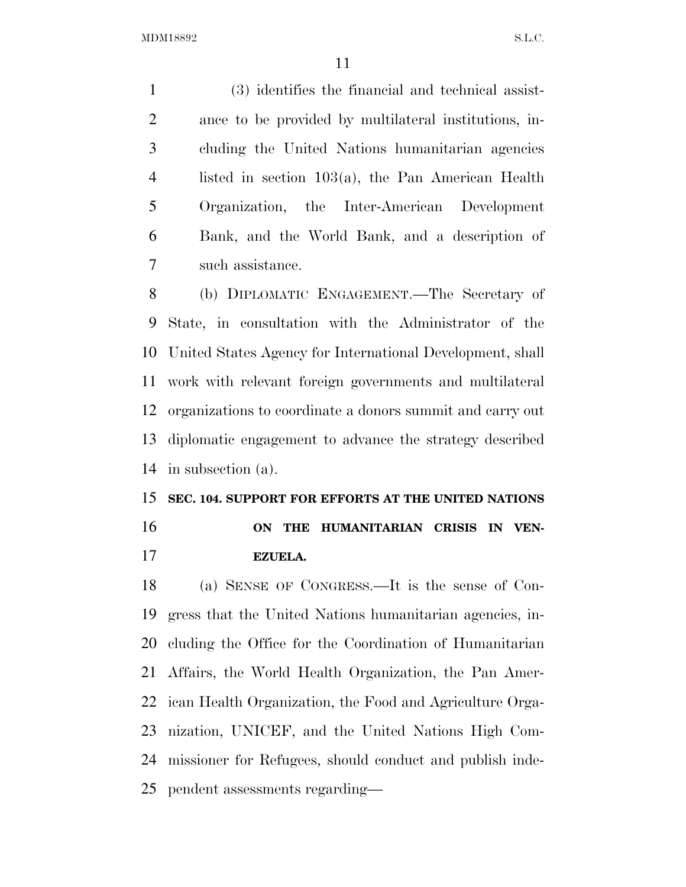(3) identifies the financial and technical assist- ance to be provided by multilateral institutions, in- cluding the United Nations humanitarian agencies listed in section 103(a), the Pan American Health Organization, the Inter-American Development Bank, and the World Bank, and a description of such assistance.

 (b) DIPLOMATIC ENGAGEMENT.—The Secretary of State, in consultation with the Administrator of the United States Agency for International Development, shall work with relevant foreign governments and multilateral organizations to coordinate a donors summit and carry out diplomatic engagement to advance the strategy described in subsection (a).

## **SEC. 104. SUPPORT FOR EFFORTS AT THE UNITED NATIONS ON THE HUMANITARIAN CRISIS IN VEN-EZUELA.**

 (a) SENSE OF CONGRESS.—It is the sense of Con- gress that the United Nations humanitarian agencies, in- cluding the Office for the Coordination of Humanitarian Affairs, the World Health Organization, the Pan Amer- ican Health Organization, the Food and Agriculture Orga- nization, UNICEF, and the United Nations High Com- missioner for Refugees, should conduct and publish inde-pendent assessments regarding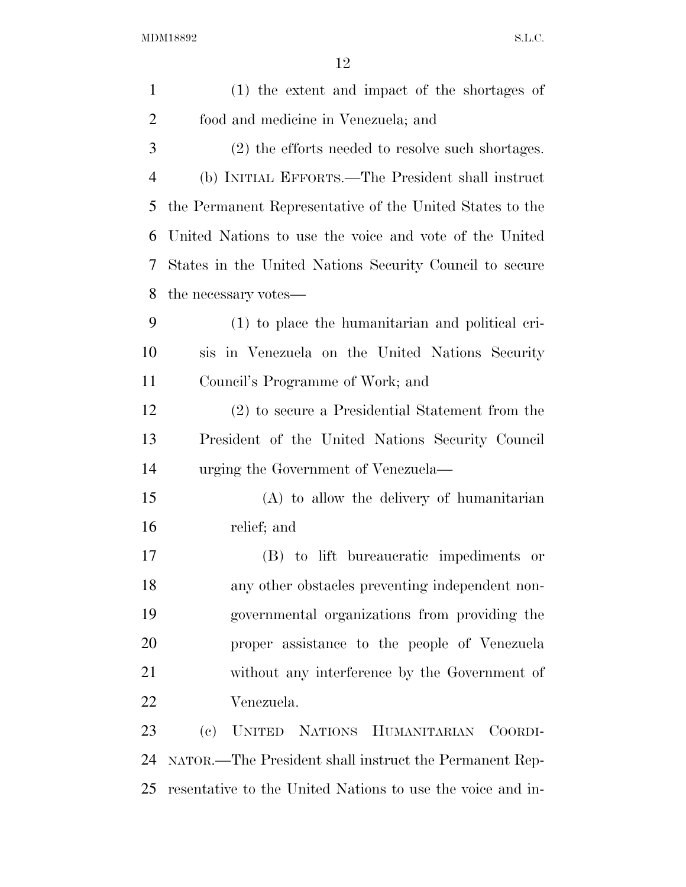$\rm MDM18892 \qquad \qquad S.L.C.$ 

| $\mathbf{1}$   | (1) the extent and impact of the shortages of              |
|----------------|------------------------------------------------------------|
| $\overline{2}$ | food and medicine in Venezuela; and                        |
| 3              | (2) the efforts needed to resolve such shortages.          |
| $\overline{4}$ | (b) INITIAL EFFORTS.—The President shall instruct          |
| 5              | the Permanent Representative of the United States to the   |
| 6              | United Nations to use the voice and vote of the United     |
| 7              | States in the United Nations Security Council to secure    |
| 8              | the necessary votes—                                       |
| 9              | (1) to place the humanitarian and political cri-           |
| 10             | sis in Venezuela on the United Nations Security            |
| 11             | Council's Programme of Work; and                           |
| 12             | (2) to secure a Presidential Statement from the            |
| 13             | President of the United Nations Security Council           |
| 14             | urging the Government of Venezuela—                        |
| 15             | $(A)$ to allow the delivery of humanitarian                |
| 16             | relief; and                                                |
| 17             | (B) to lift bureaucratic impediments or                    |
| 18             | any other obstacles preventing independent non-            |
| 19             | governmental organizations from providing the              |
| 20             | proper assistance to the people of Venezuela               |
| 21             | without any interference by the Government of              |
| 22             | Venezuela.                                                 |
| 23             | (e)<br>UNITED NATIONS HUMANITARIAN COORDI-                 |
| 24             | NATOR.—The President shall instruct the Permanent Rep-     |
| 25             | resentative to the United Nations to use the voice and in- |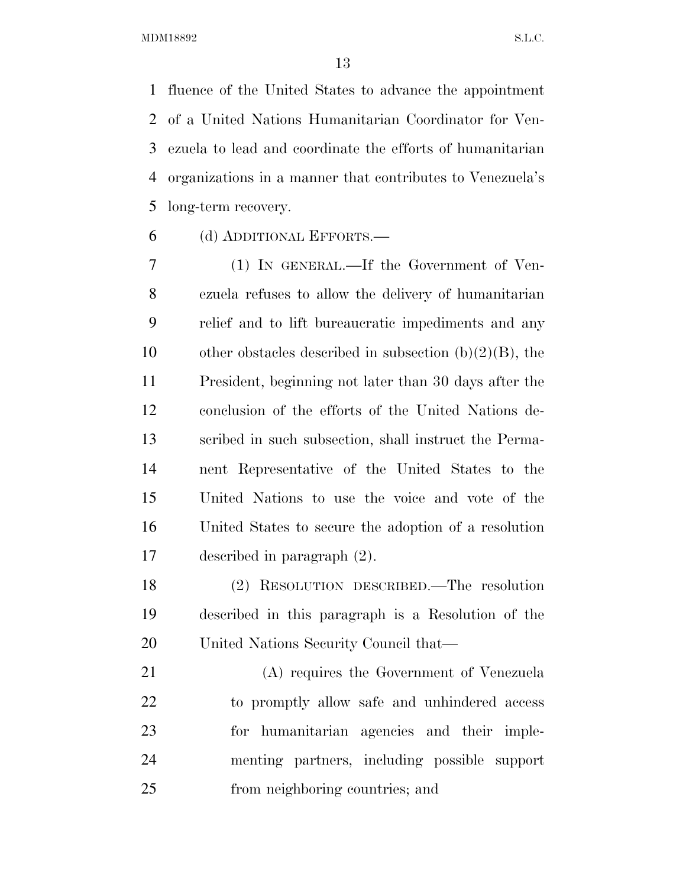fluence of the United States to advance the appointment of a United Nations Humanitarian Coordinator for Ven- ezuela to lead and coordinate the efforts of humanitarian organizations in a manner that contributes to Venezuela's long-term recovery.

(d) ADDITIONAL EFFORTS.—

 (1) IN GENERAL.—If the Government of Ven- ezuela refuses to allow the delivery of humanitarian relief and to lift bureaucratic impediments and any 10 other obstacles described in subsection  $(b)(2)(B)$ , the President, beginning not later than 30 days after the conclusion of the efforts of the United Nations de- scribed in such subsection, shall instruct the Perma- nent Representative of the United States to the United Nations to use the voice and vote of the United States to secure the adoption of a resolution described in paragraph (2).

 (2) RESOLUTION DESCRIBED.—The resolution described in this paragraph is a Resolution of the United Nations Security Council that—

 (A) requires the Government of Venezuela to promptly allow safe and unhindered access for humanitarian agencies and their imple- menting partners, including possible support from neighboring countries; and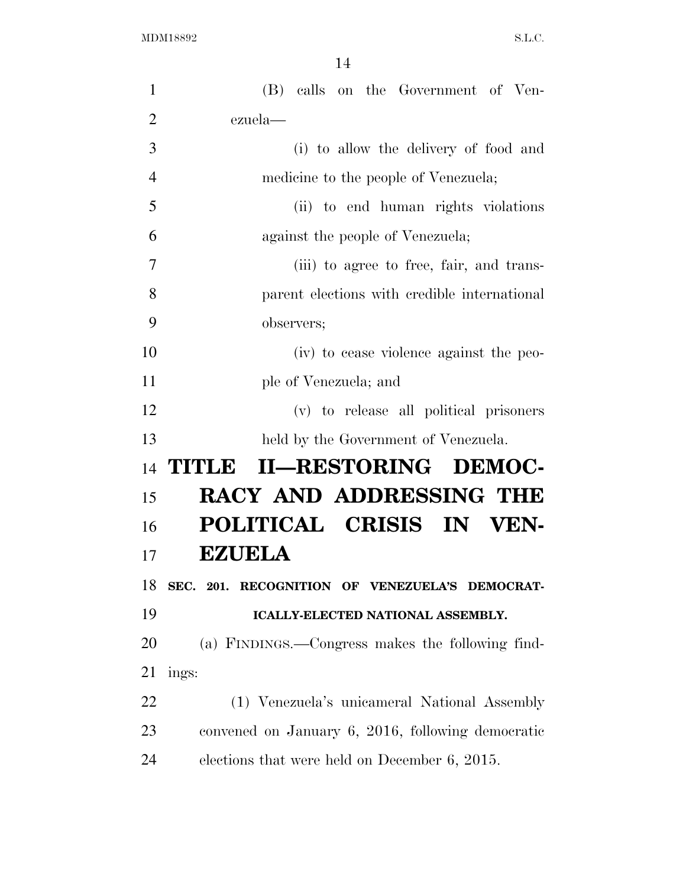| $\mathbf{1}$   | (B) calls on the Government of Ven-               |
|----------------|---------------------------------------------------|
| $\overline{2}$ | ezuela-                                           |
| 3              | (i) to allow the delivery of food and             |
| $\overline{4}$ | medicine to the people of Venezuela;              |
| 5              | (ii) to end human rights violations               |
| 6              | against the people of Venezuela;                  |
| $\overline{7}$ | (iii) to agree to free, fair, and trans-          |
| 8              | parent elections with credible international      |
| 9              | observers;                                        |
| 10             | (iv) to cease violence against the peo-           |
| 11             | ple of Venezuela; and                             |
| 12             | (v) to release all political prisoners            |
| 13             | held by the Government of Venezuela.              |
| 14             | II-RESTORING DEMOC-<br>TITLE                      |
| 15             | RACY AND ADDRESSING THE                           |
|                |                                                   |
| 16             | POLITICAL CRISIS IN VEN-                          |
| 17             | <b>EZUELA</b>                                     |
| 18             | SEC. 201. RECOGNITION OF VENEZUELA'S DEMOCRAT-    |
| 19             | ICALLY-ELECTED NATIONAL ASSEMBLY.                 |
| 20             | (a) FINDINGS.—Congress makes the following find-  |
| 21             | ings:                                             |
| 22             | (1) Venezuela's unicameral National Assembly      |
| 23             | convened on January 6, 2016, following democratic |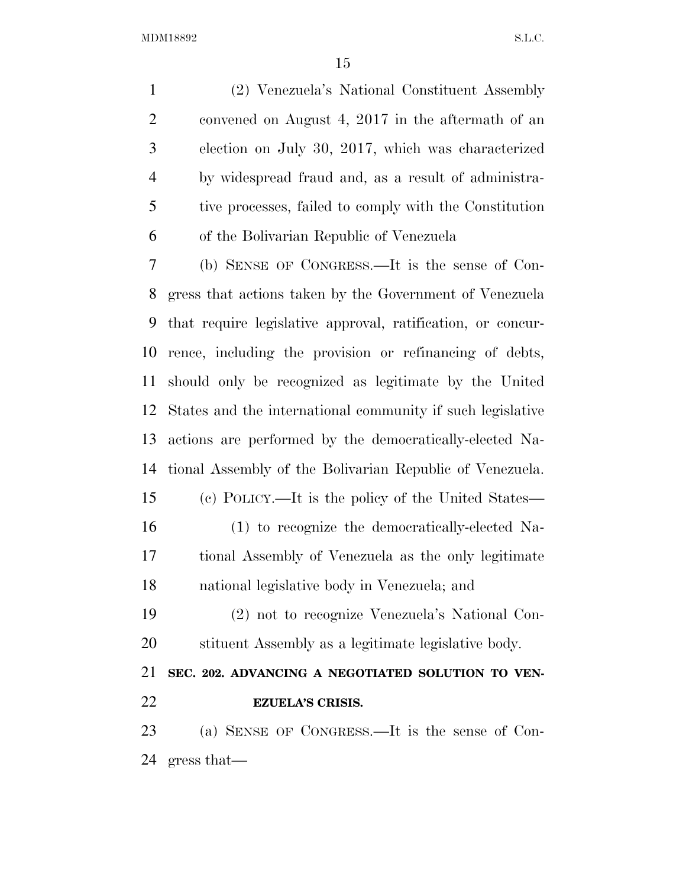(2) Venezuela's National Constituent Assembly convened on August 4, 2017 in the aftermath of an election on July 30, 2017, which was characterized by widespread fraud and, as a result of administra- tive processes, failed to comply with the Constitution of the Bolivarian Republic of Venezuela

 (b) SENSE OF CONGRESS.—It is the sense of Con- gress that actions taken by the Government of Venezuela that require legislative approval, ratification, or concur- rence, including the provision or refinancing of debts, should only be recognized as legitimate by the United States and the international community if such legislative actions are performed by the democratically-elected Na- tional Assembly of the Bolivarian Republic of Venezuela. (c) POLICY.—It is the policy of the United States— (1) to recognize the democratically-elected Na- tional Assembly of Venezuela as the only legitimate national legislative body in Venezuela; and

 (2) not to recognize Venezuela's National Con-stituent Assembly as a legitimate legislative body.

 **SEC. 202. ADVANCING A NEGOTIATED SOLUTION TO VEN-EZUELA'S CRISIS.** 

 (a) SENSE OF CONGRESS.—It is the sense of Con-gress that—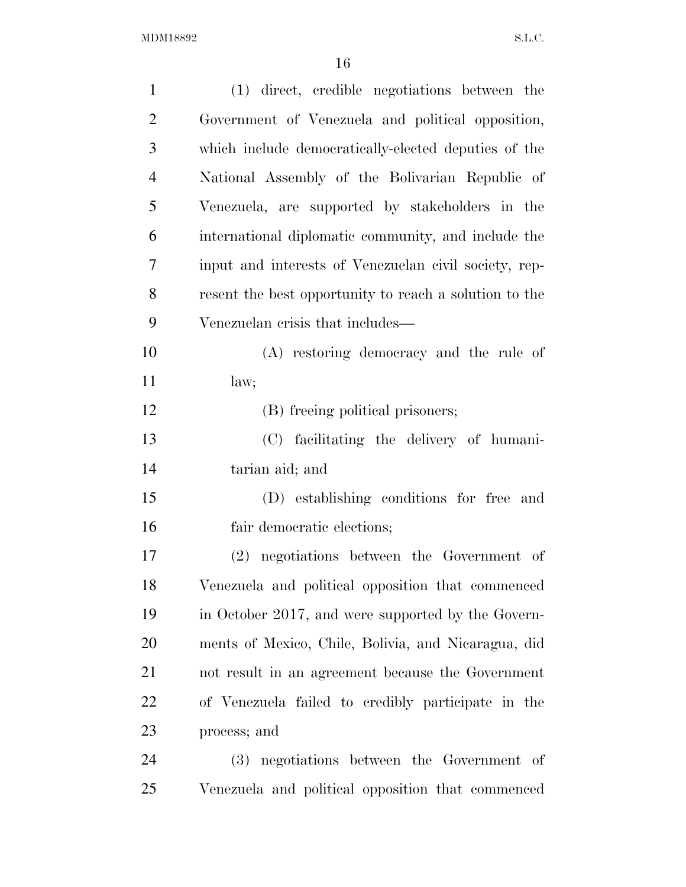| $\mathbf{1}$   | (1) direct, credible negotiations between the          |
|----------------|--------------------------------------------------------|
| $\overline{2}$ | Government of Venezuela and political opposition,      |
| 3              | which include democratically-elected deputies of the   |
| $\overline{4}$ | National Assembly of the Bolivarian Republic of        |
| 5              | Venezuela, are supported by stakeholders in the        |
| 6              | international diplomatic community, and include the    |
| 7              | input and interests of Venezuelan civil society, rep-  |
| 8              | resent the best opportunity to reach a solution to the |
| 9              | Venezuelan crisis that includes—                       |
| 10             | (A) restoring democracy and the rule of                |
| 11             | law;                                                   |
| 12             | (B) freeing political prisoners;                       |
| 13             | (C) facilitating the delivery of humani-               |
| 14             | tarian aid; and                                        |
| 15             | (D) establishing conditions for free and               |
| 16             | fair democratic elections;                             |
| 17             | negotiations between the Government of<br>(2)          |
| 18             | Venezuela and political opposition that commenced      |
| 19             | in October 2017, and were supported by the Govern-     |
| 20             | ments of Mexico, Chile, Bolivia, and Nicaragua, did    |
| 21             | not result in an agreement because the Government      |
| 22             | of Venezuela failed to credibly participate in the     |
| 23             | process; and                                           |
| 24             | (3) negotiations between the Government of             |
| 25             | Venezuela and political opposition that commenced      |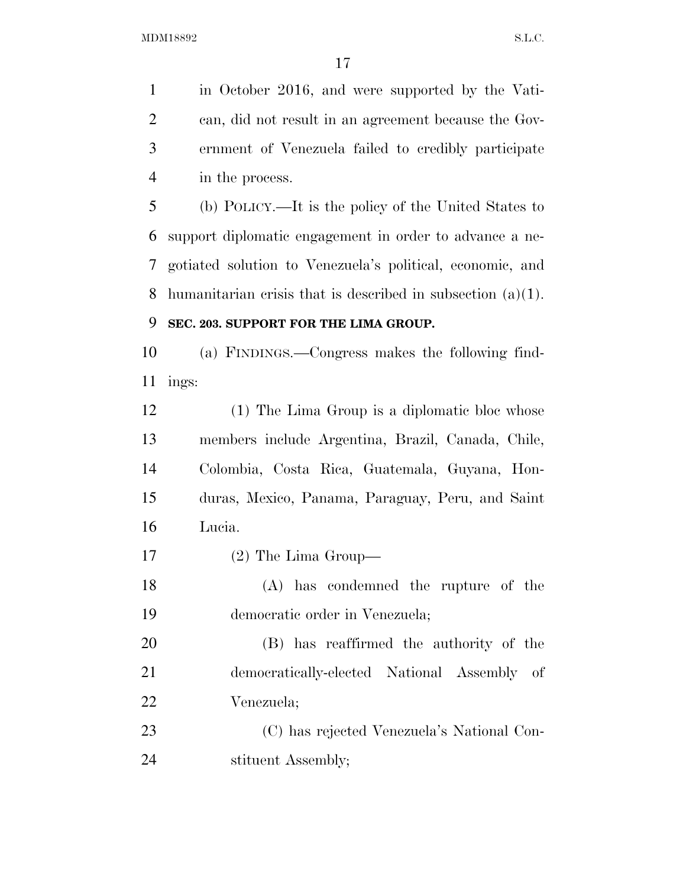in October 2016, and were supported by the Vati- can, did not result in an agreement because the Gov- ernment of Venezuela failed to credibly participate in the process.

 (b) POLICY.—It is the policy of the United States to support diplomatic engagement in order to advance a ne- gotiated solution to Venezuela's political, economic, and humanitarian crisis that is described in subsection (a)(1).

### **SEC. 203. SUPPORT FOR THE LIMA GROUP.**

 (a) FINDINGS.—Congress makes the following find-ings:

 (1) The Lima Group is a diplomatic bloc whose members include Argentina, Brazil, Canada, Chile, Colombia, Costa Rica, Guatemala, Guyana, Hon- duras, Mexico, Panama, Paraguay, Peru, and Saint Lucia.

(2) The Lima Group—

 (A) has condemned the rupture of the democratic order in Venezuela;

 (B) has reaffirmed the authority of the democratically-elected National Assembly of Venezuela;

 (C) has rejected Venezuela's National Con-24 stituent Assembly;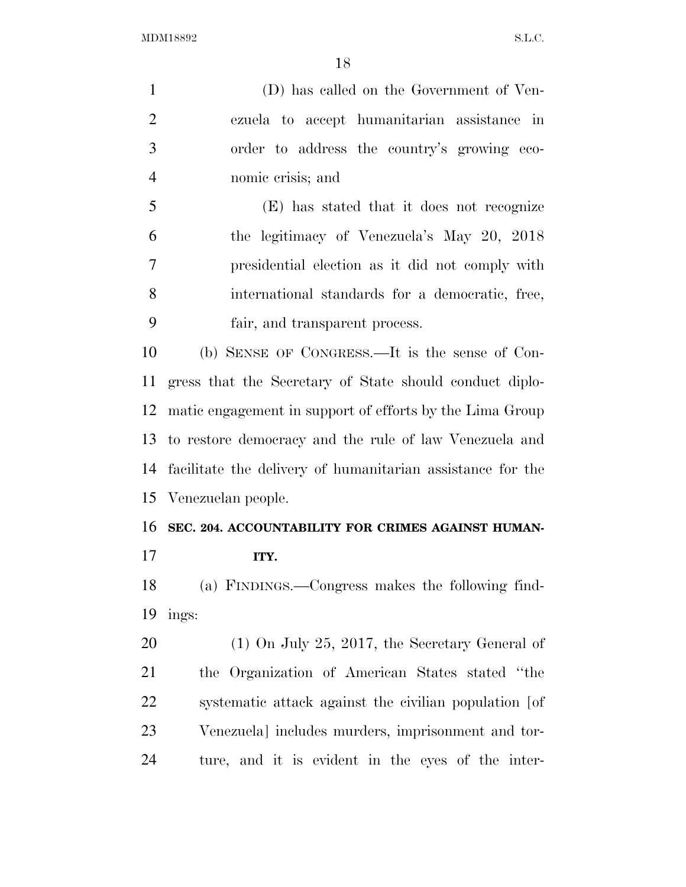(D) has called on the Government of Ven- ezuela to accept humanitarian assistance in order to address the country's growing eco- nomic crisis; and (E) has stated that it does not recognize the legitimacy of Venezuela's May 20, 2018 presidential election as it did not comply with international standards for a democratic, free, fair, and transparent process. (b) SENSE OF CONGRESS.—It is the sense of Con- gress that the Secretary of State should conduct diplo- matic engagement in support of efforts by the Lima Group to restore democracy and the rule of law Venezuela and facilitate the delivery of humanitarian assistance for the

Venezuelan people.

### **SEC. 204. ACCOUNTABILITY FOR CRIMES AGAINST HUMAN-ITY.**

 (a) FINDINGS.—Congress makes the following find-ings:

 (1) On July 25, 2017, the Secretary General of the Organization of American States stated ''the systematic attack against the civilian population [of Venezuela] includes murders, imprisonment and tor-ture, and it is evident in the eyes of the inter-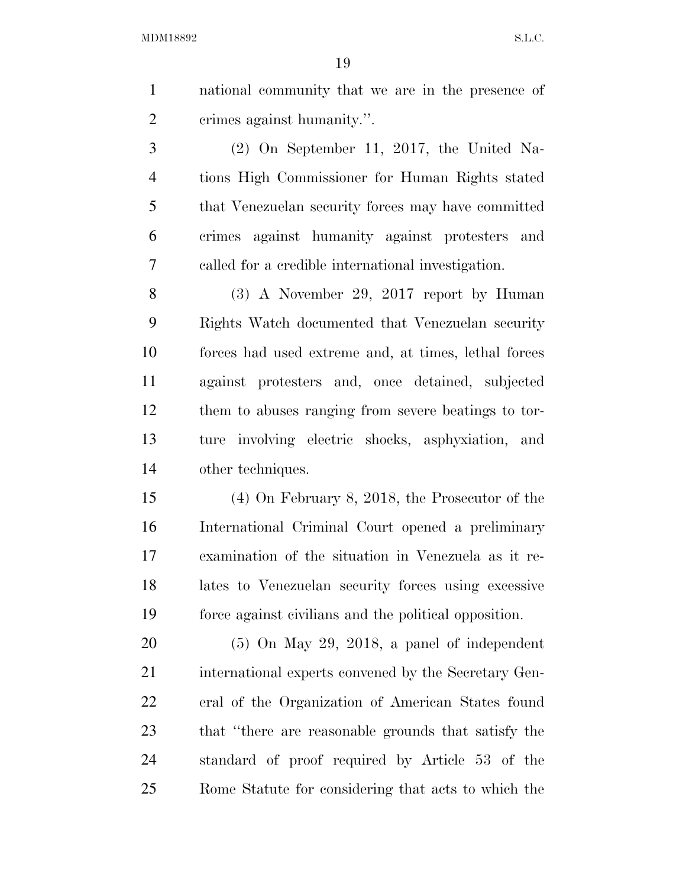national community that we are in the presence of crimes against humanity.''.

 (2) On September 11, 2017, the United Na- tions High Commissioner for Human Rights stated that Venezuelan security forces may have committed crimes against humanity against protesters and called for a credible international investigation.

 (3) A November 29, 2017 report by Human Rights Watch documented that Venezuelan security forces had used extreme and, at times, lethal forces against protesters and, once detained, subjected them to abuses ranging from severe beatings to tor- ture involving electric shocks, asphyxiation, and other techniques.

 (4) On February 8, 2018, the Prosecutor of the International Criminal Court opened a preliminary examination of the situation in Venezuela as it re- lates to Venezuelan security forces using excessive force against civilians and the political opposition.

 (5) On May 29, 2018, a panel of independent international experts convened by the Secretary Gen- eral of the Organization of American States found that ''there are reasonable grounds that satisfy the standard of proof required by Article 53 of the Rome Statute for considering that acts to which the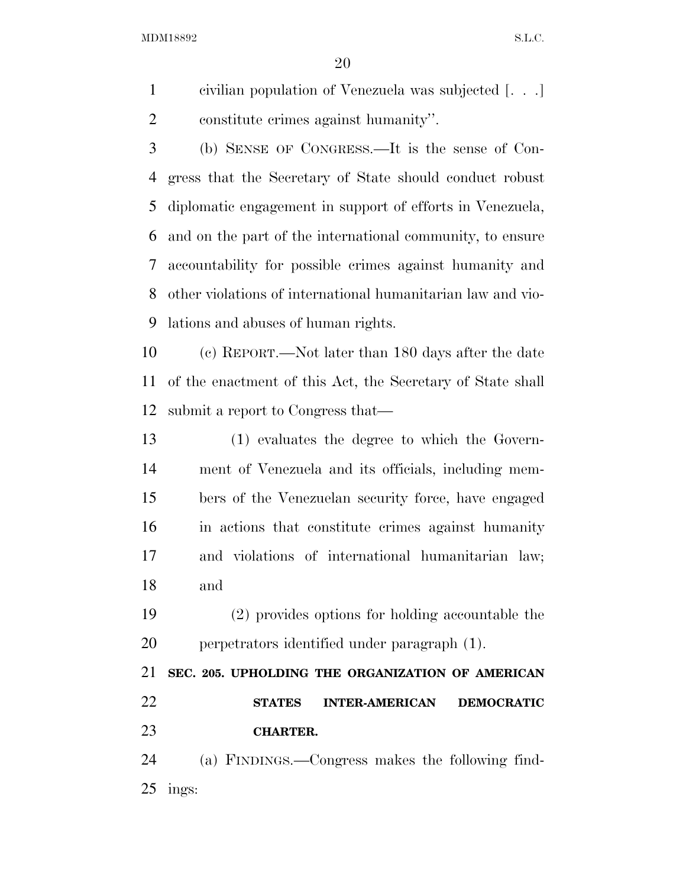civilian population of Venezuela was subjected [. . .] constitute crimes against humanity''.

 (b) SENSE OF CONGRESS.—It is the sense of Con- gress that the Secretary of State should conduct robust diplomatic engagement in support of efforts in Venezuela, and on the part of the international community, to ensure accountability for possible crimes against humanity and other violations of international humanitarian law and vio-lations and abuses of human rights.

 (c) REPORT.—Not later than 180 days after the date of the enactment of this Act, the Secretary of State shall submit a report to Congress that—

 (1) evaluates the degree to which the Govern- ment of Venezuela and its officials, including mem- bers of the Venezuelan security force, have engaged in actions that constitute crimes against humanity and violations of international humanitarian law; and

 (2) provides options for holding accountable the perpetrators identified under paragraph (1).

 **SEC. 205. UPHOLDING THE ORGANIZATION OF AMERICAN STATES INTER-AMERICAN DEMOCRATIC CHARTER.** 

 (a) FINDINGS.—Congress makes the following find-ings: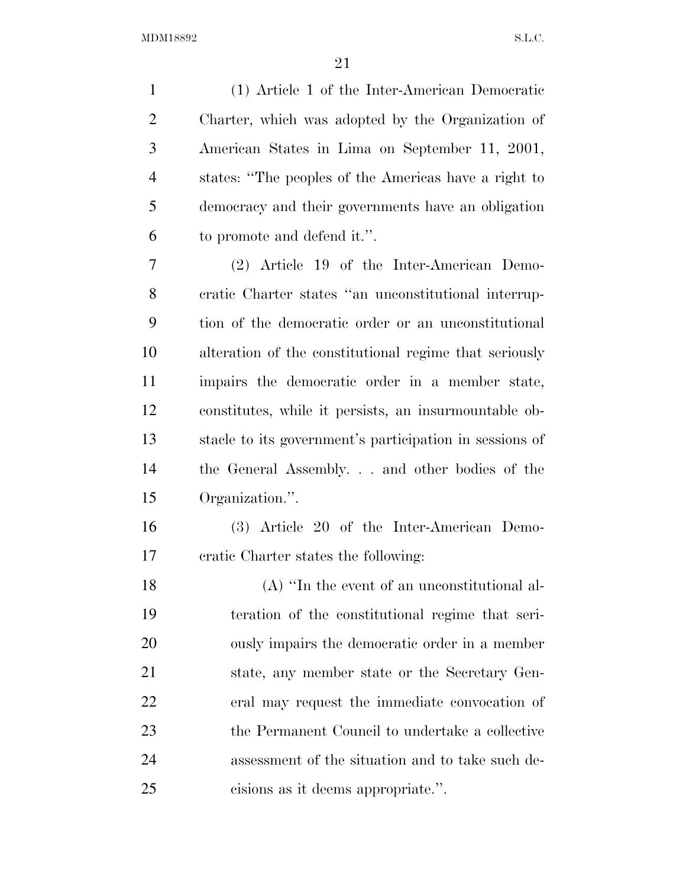(1) Article 1 of the Inter-American Democratic Charter, which was adopted by the Organization of American States in Lima on September 11, 2001, states: ''The peoples of the Americas have a right to democracy and their governments have an obligation to promote and defend it.''.

 (2) Article 19 of the Inter-American Demo- cratic Charter states ''an unconstitutional interrup- tion of the democratic order or an unconstitutional alteration of the constitutional regime that seriously impairs the democratic order in a member state, constitutes, while it persists, an insurmountable ob- stacle to its government's participation in sessions of the General Assembly. . . and other bodies of the Organization.''.

 (3) Article 20 of the Inter-American Demo-cratic Charter states the following:

 (A) ''In the event of an unconstitutional al- teration of the constitutional regime that seri- ously impairs the democratic order in a member state, any member state or the Secretary Gen- eral may request the immediate convocation of the Permanent Council to undertake a collective assessment of the situation and to take such de-cisions as it deems appropriate.''.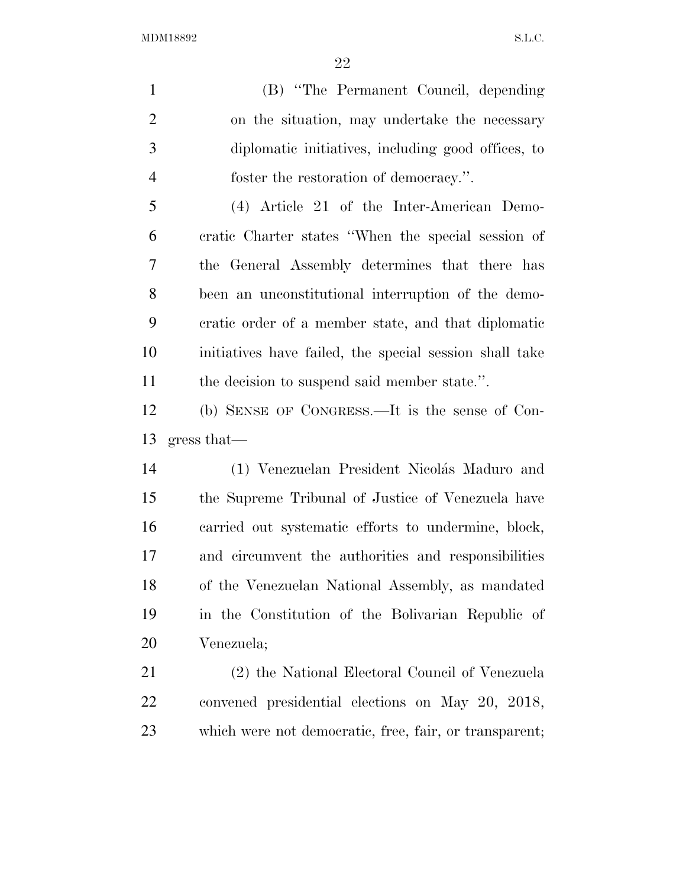(B) ''The Permanent Council, depending on the situation, may undertake the necessary diplomatic initiatives, including good offices, to foster the restoration of democracy.''.

 (4) Article 21 of the Inter-American Demo- cratic Charter states ''When the special session of the General Assembly determines that there has been an unconstitutional interruption of the demo- cratic order of a member state, and that diplomatic initiatives have failed, the special session shall take 11 the decision to suspend said member state.".

 (b) SENSE OF CONGRESS.—It is the sense of Con-gress that—

14 (1) Venezuelan President Nicolás Maduro and the Supreme Tribunal of Justice of Venezuela have carried out systematic efforts to undermine, block, and circumvent the authorities and responsibilities of the Venezuelan National Assembly, as mandated in the Constitution of the Bolivarian Republic of Venezuela;

 (2) the National Electoral Council of Venezuela convened presidential elections on May 20, 2018, which were not democratic, free, fair, or transparent;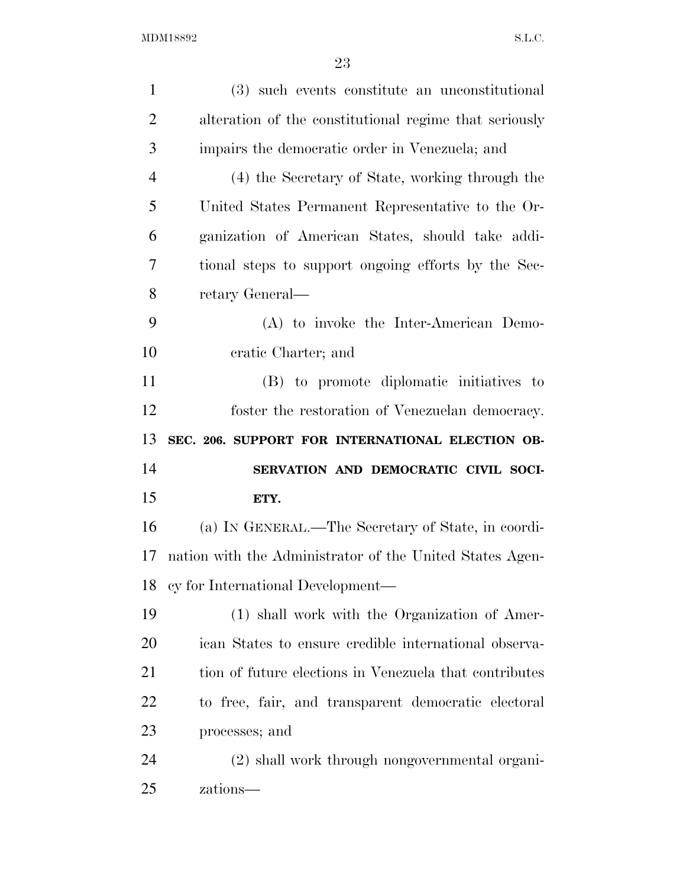| $\mathbf{1}$   | (3) such events constitute an unconstitutional           |
|----------------|----------------------------------------------------------|
| $\overline{2}$ | alteration of the constitutional regime that seriously   |
| 3              | impairs the democratic order in Venezuela; and           |
| $\overline{4}$ | (4) the Secretary of State, working through the          |
| 5              | United States Permanent Representative to the Or-        |
| 6              | ganization of American States, should take addi-         |
| 7              | tional steps to support ongoing efforts by the Sec-      |
| 8              | retary General—                                          |
| 9              | (A) to invoke the Inter-American Demo-                   |
| 10             | cratic Charter; and                                      |
| 11             | (B) to promote diplomatic initiatives to                 |
| 12             | foster the restoration of Venezuelan democracy.          |
|                |                                                          |
| 13             | SEC. 206. SUPPORT FOR INTERNATIONAL ELECTION OB-         |
| 14             | SERVATION AND DEMOCRATIC CIVIL SOCI-                     |
| 15             | ETY.                                                     |
| 16             | (a) IN GENERAL.—The Secretary of State, in coordi-       |
| 17             | nation with the Administrator of the United States Agen- |
| 18             | cy for International Development—                        |
| 19             | (1) shall work with the Organization of Amer-            |
| 20             | ican States to ensure credible international observa-    |
| 21             | tion of future elections in Venezuela that contributes   |
| 22             | to free, fair, and transparent democratic electoral      |
| 23             | processes; and                                           |
| 24             | (2) shall work through nongovernmental organi-           |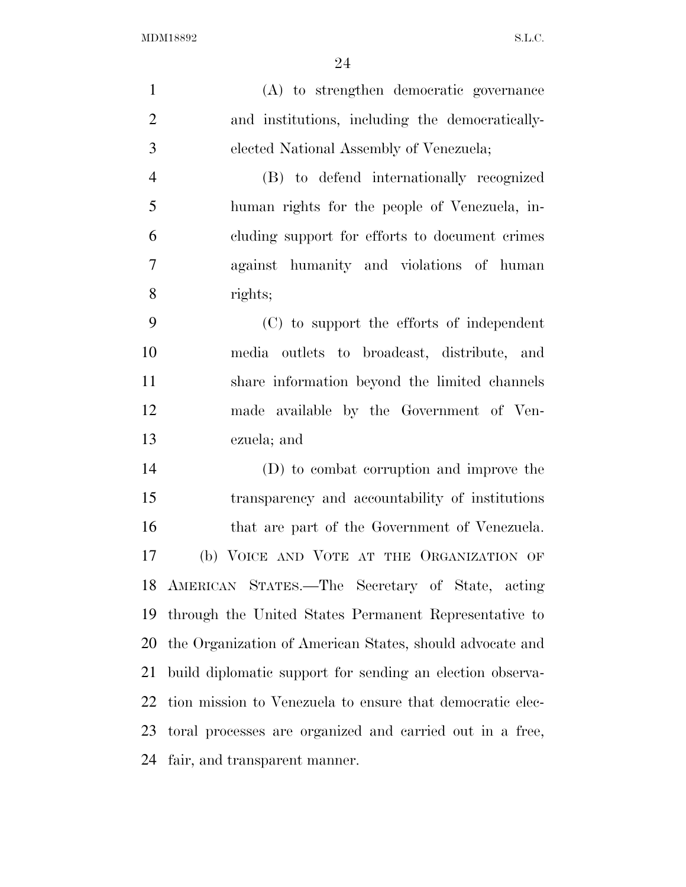(A) to strengthen democratic governance and institutions, including the democratically- elected National Assembly of Venezuela; (B) to defend internationally recognized human rights for the people of Venezuela, in- cluding support for efforts to document crimes against humanity and violations of human rights; (C) to support the efforts of independent media outlets to broadcast, distribute, and share information beyond the limited channels made available by the Government of Ven- ezuela; and (D) to combat corruption and improve the transparency and accountability of institutions 16 that are part of the Government of Venezuela. (b) VOICE AND VOTE AT THE ORGANIZATION OF AMERICAN STATES.—The Secretary of State, acting through the United States Permanent Representative to the Organization of American States, should advocate and build diplomatic support for sending an election observa- tion mission to Venezuela to ensure that democratic elec- toral processes are organized and carried out in a free, fair, and transparent manner.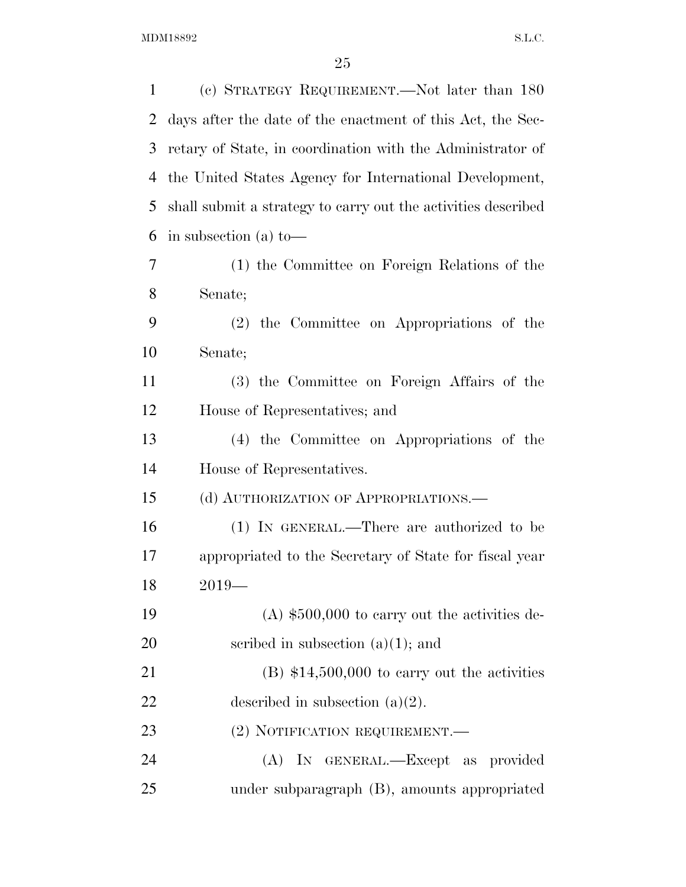| $\mathbf 1$ | (c) STRATEGY REQUIREMENT.—Not later than 180                  |
|-------------|---------------------------------------------------------------|
| 2           | days after the date of the enactment of this Act, the Sec-    |
| 3           | retary of State, in coordination with the Administrator of    |
| 4           | the United States Agency for International Development,       |
| 5           | shall submit a strategy to carry out the activities described |
| 6           | in subsection (a) to-                                         |
| 7           | (1) the Committee on Foreign Relations of the                 |
| 8           | Senate;                                                       |
| 9           | (2) the Committee on Appropriations of the                    |
| 10          | Senate;                                                       |
| 11          | (3) the Committee on Foreign Affairs of the                   |
| 12          | House of Representatives; and                                 |
| 13          | (4) the Committee on Appropriations of the                    |
| 14          | House of Representatives.                                     |
| 15          | (d) AUTHORIZATION OF APPROPRIATIONS.—                         |
| 16          | (1) IN GENERAL.—There are authorized to be                    |
| 17          | appropriated to the Secretary of State for fiscal year        |
| 18          | $2019-$                                                       |
| 19          | $(A)$ \$500,000 to carry out the activities de-               |
| 20          | scribed in subsection $(a)(1)$ ; and                          |
| 21          | $(B)$ \$14,500,000 to carry out the activities                |
| 22          | described in subsection $(a)(2)$ .                            |
| 23          | (2) NOTIFICATION REQUIREMENT.                                 |
| 24          | (A) IN GENERAL.—Except as provided                            |
| 25          | under subparagraph (B), amounts appropriated                  |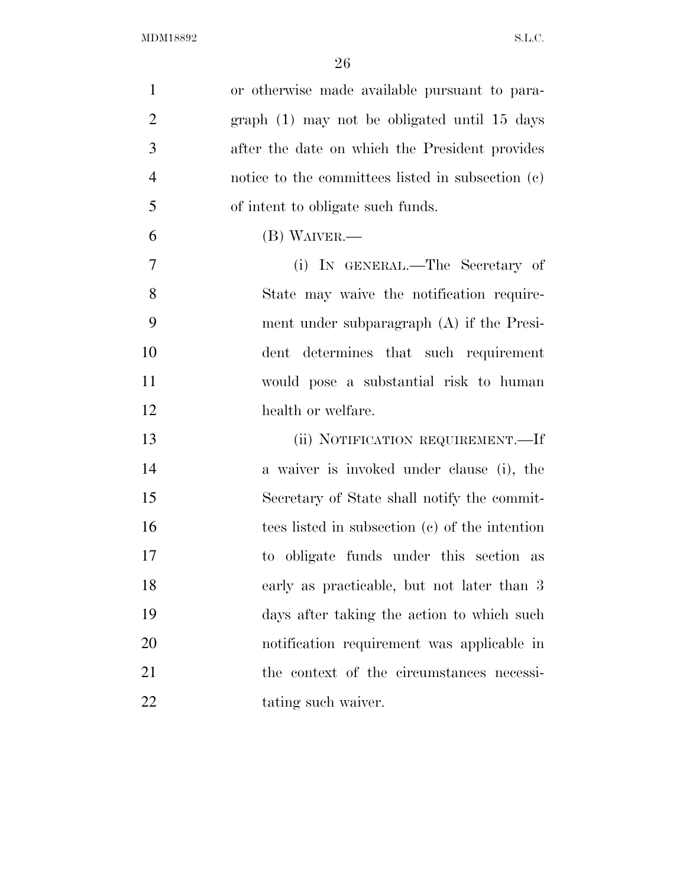| $\mathbf{1}$   | or otherwise made available pursuant to para-     |
|----------------|---------------------------------------------------|
| $\overline{2}$ | graph (1) may not be obligated until 15 days      |
| 3              | after the date on which the President provides    |
| $\overline{4}$ | notice to the committees listed in subsection (c) |
| 5              | of intent to obligate such funds.                 |
| 6              | $(B)$ WAIVER.—                                    |
| $\overline{7}$ | (i) IN GENERAL.—The Secretary of                  |
| 8              | State may waive the notification require-         |
| 9              | ment under subparagraph $(A)$ if the Presi-       |
| 10             | dent determines that such requirement             |
| 11             | would pose a substantial risk to human            |
| 12             | health or welfare.                                |
| 13             | (ii) NOTIFICATION REQUIREMENT.-If                 |
| 14             | a waiver is invoked under clause (i), the         |
| 15             | Secretary of State shall notify the commit-       |
| 16             | tees listed in subsection (c) of the intention    |
| 17             | to obligate funds under this section as           |
| 18             | early as practicable, but not later than 3        |
| 19             | days after taking the action to which such        |
| 20             | notification requirement was applicable in        |
| 21             | the context of the circumstances necessi-         |
| 22             | tating such waiver.                               |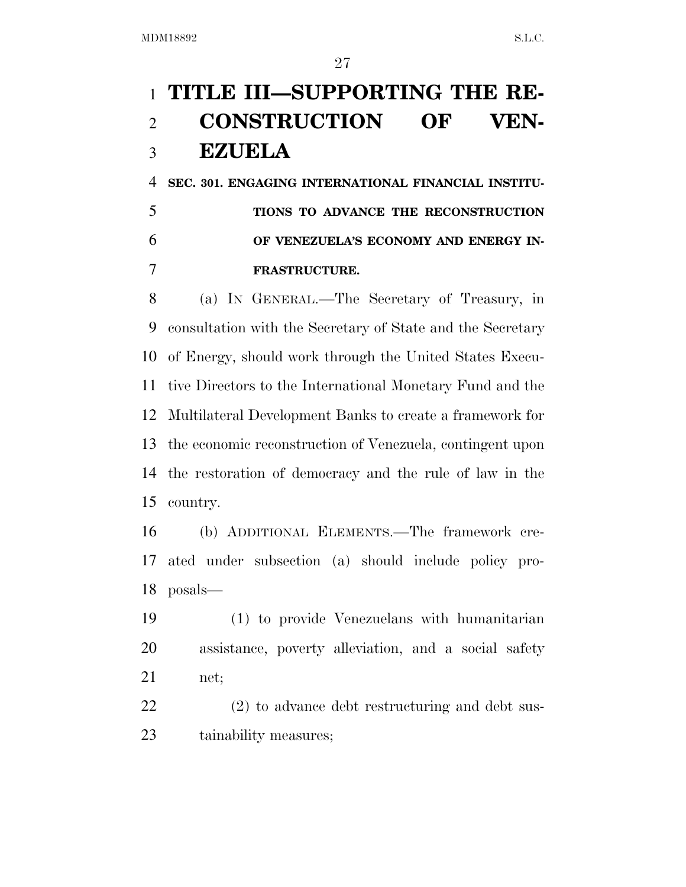## **TITLE III—SUPPORTING THE RE- CONSTRUCTION OF VEN-EZUELA**

 **SEC. 301. ENGAGING INTERNATIONAL FINANCIAL INSTITU- TIONS TO ADVANCE THE RECONSTRUCTION OF VENEZUELA'S ECONOMY AND ENERGY IN-FRASTRUCTURE.** 

 (a) IN GENERAL.—The Secretary of Treasury, in consultation with the Secretary of State and the Secretary of Energy, should work through the United States Execu- tive Directors to the International Monetary Fund and the Multilateral Development Banks to create a framework for the economic reconstruction of Venezuela, contingent upon the restoration of democracy and the rule of law in the country.

 (b) ADDITIONAL ELEMENTS.—The framework cre- ated under subsection (a) should include policy pro-posals—

 (1) to provide Venezuelans with humanitarian assistance, poverty alleviation, and a social safety net;

 (2) to advance debt restructuring and debt sus-tainability measures;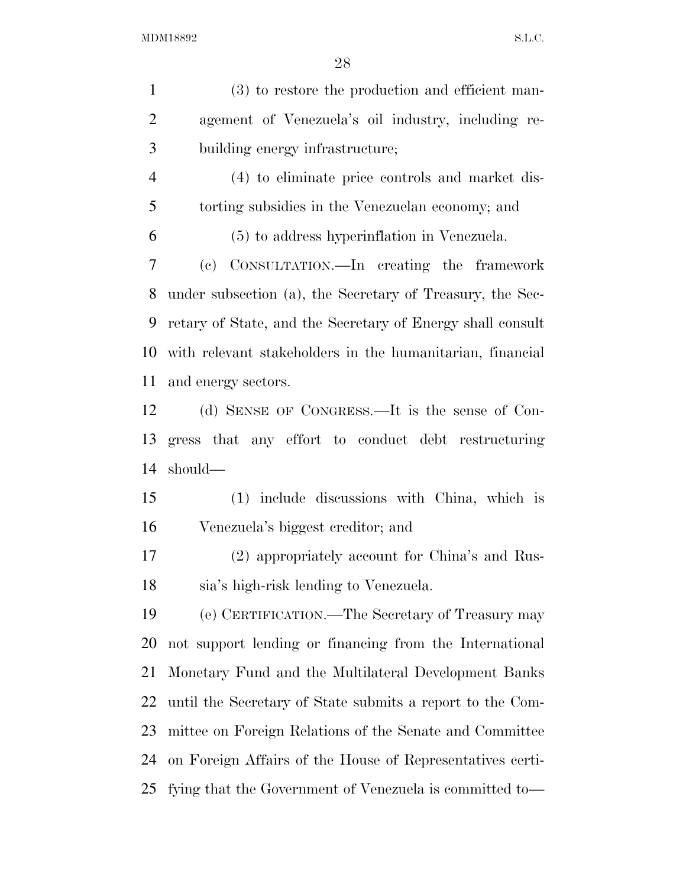(3) to restore the production and efficient man- agement of Venezuela's oil industry, including re- building energy infrastructure; (4) to eliminate price controls and market dis- torting subsidies in the Venezuelan economy; and (5) to address hyperinflation in Venezuela. (c) CONSULTATION.—In creating the framework under subsection (a), the Secretary of Treasury, the Sec- retary of State, and the Secretary of Energy shall consult with relevant stakeholders in the humanitarian, financial and energy sectors. (d) SENSE OF CONGRESS.—It is the sense of Con- gress that any effort to conduct debt restructuring should— (1) include discussions with China, which is Venezuela's biggest creditor; and (2) appropriately account for China's and Rus- sia's high-risk lending to Venezuela. (e) CERTIFICATION.—The Secretary of Treasury may not support lending or financing from the International Monetary Fund and the Multilateral Development Banks until the Secretary of State submits a report to the Com- mittee on Foreign Relations of the Senate and Committee on Foreign Affairs of the House of Representatives certi-fying that the Government of Venezuela is committed to—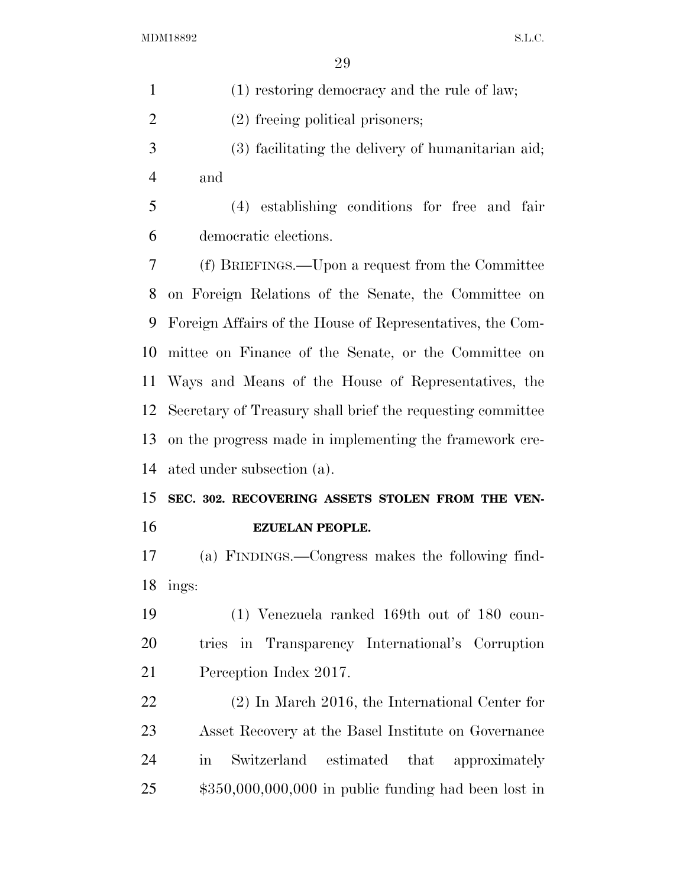| $\mathbf{1}$   | (1) restoring democracy and the rule of law;                          |
|----------------|-----------------------------------------------------------------------|
| $\overline{2}$ | (2) freeing political prisoners;                                      |
| 3              | (3) facilitating the delivery of humanitarian aid;                    |
| $\overline{4}$ | and                                                                   |
| 5              | (4) establishing conditions for free and fair                         |
| 6              | democratic elections.                                                 |
| 7              | (f) BRIEFINGS.—Upon a request from the Committee                      |
| 8              | on Foreign Relations of the Senate, the Committee on                  |
| 9              | Foreign Affairs of the House of Representatives, the Com-             |
| 10             | mittee on Finance of the Senate, or the Committee on                  |
| 11             | Ways and Means of the House of Representatives, the                   |
| 12             | Secretary of Treasury shall brief the requesting committee            |
| 13             | on the progress made in implementing the framework cre-               |
| 14             | ated under subsection (a).                                            |
| 15             | SEC. 302. RECOVERING ASSETS STOLEN FROM THE VEN-                      |
| 16             | <b>EZUELAN PEOPLE.</b>                                                |
| 17             | (a) FINDINGS.—Congress makes the following find-                      |
| 18             | ings:                                                                 |
| 19             | $(1)$ Venezuela ranked 169th out of 180 coun-                         |
| 20             | tries in Transparency International's Corruption                      |
| 21             | Perception Index 2017.                                                |
| 22             | $(2)$ In March 2016, the International Center for                     |
| 23             | Asset Recovery at the Basel Institute on Governance                   |
| 24             | that approximately<br>Switzerland<br>estimated<br>$\operatorname{in}$ |
| 25             | $$350,000,000,000$ in public funding had been lost in                 |
|                |                                                                       |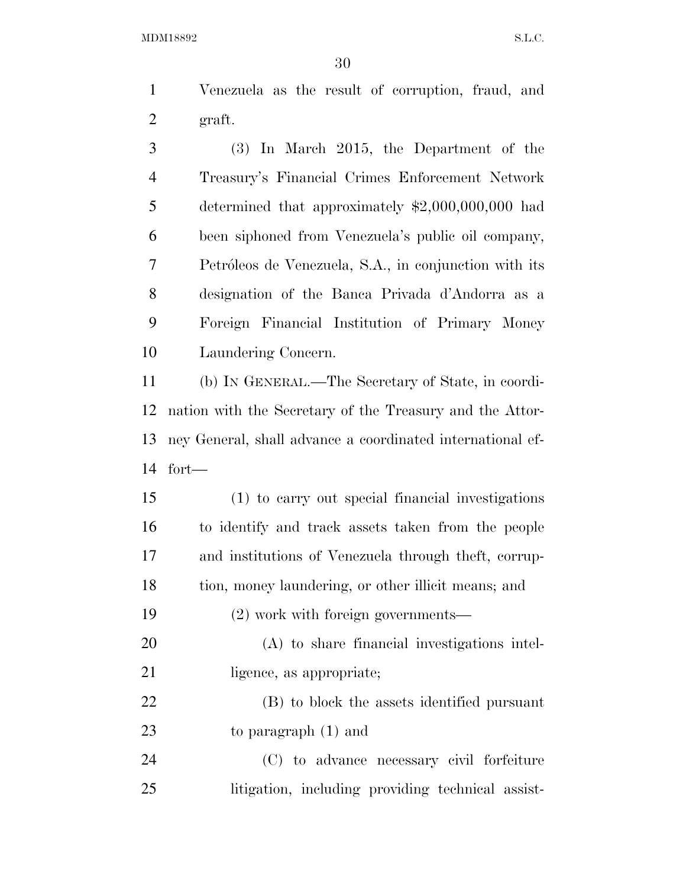Venezuela as the result of corruption, fraud, and graft.

 (3) In March 2015, the Department of the Treasury's Financial Crimes Enforcement Network determined that approximately \$2,000,000,000 had been siphoned from Venezuela's public oil company, Petro´leos de Venezuela, S.A., in conjunction with its designation of the Banca Privada d'Andorra as a Foreign Financial Institution of Primary Money Laundering Concern.

 (b) IN GENERAL.—The Secretary of State, in coordi- nation with the Secretary of the Treasury and the Attor- ney General, shall advance a coordinated international ef-fort—

 (1) to carry out special financial investigations to identify and track assets taken from the people and institutions of Venezuela through theft, corrup- tion, money laundering, or other illicit means; and (2) work with foreign governments— (A) to share financial investigations intel-21 ligence, as appropriate; (B) to block the assets identified pursuant to paragraph (1) and

 (C) to advance necessary civil forfeiture litigation, including providing technical assist-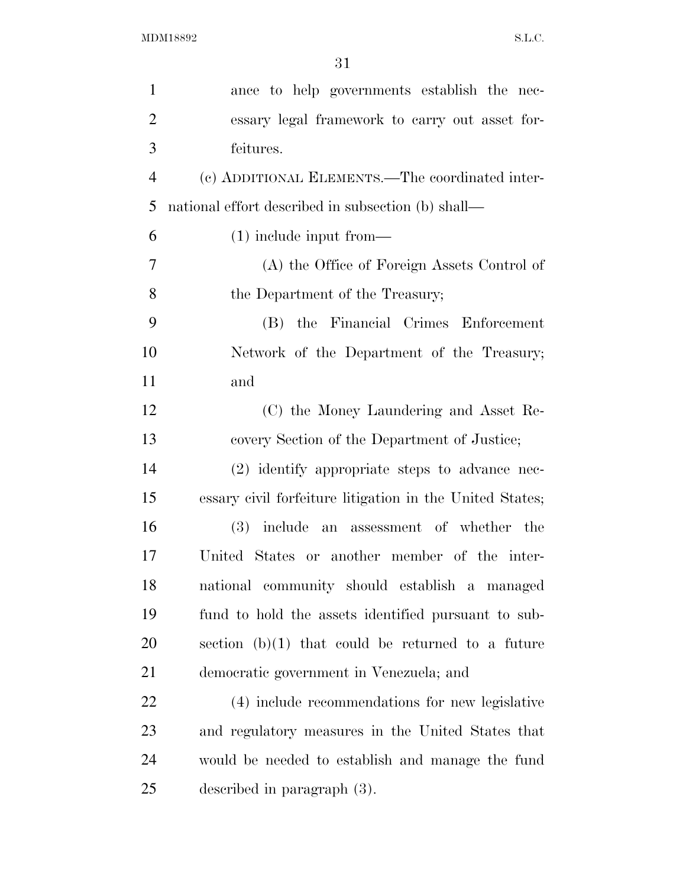| ance to help governments establish the nec-              |
|----------------------------------------------------------|
| essary legal framework to carry out asset for-           |
| feitures.                                                |
| (c) ADDITIONAL ELEMENTS.—The coordinated inter-          |
| national effort described in subsection (b) shall—       |
| $(1)$ include input from—                                |
| (A) the Office of Foreign Assets Control of              |
| the Department of the Treasury;                          |
| (B) the Financial Crimes Enforcement                     |
| Network of the Department of the Treasury;               |
| and                                                      |
| (C) the Money Laundering and Asset Re-                   |
| covery Section of the Department of Justice;             |
| (2) identify appropriate steps to advance nec-           |
| essary civil forfeiture litigation in the United States; |
| (3) include an assessment of whether the                 |
| United States or another member of the inter-            |
| national community should establish a managed            |
| fund to hold the assets identified pursuant to sub-      |
| section $(b)(1)$ that could be returned to a future      |
| democratic government in Venezuela; and                  |
| (4) include recommendations for new legislative          |
| and regulatory measures in the United States that        |
| would be needed to establish and manage the fund         |
| described in paragraph $(3)$ .                           |
|                                                          |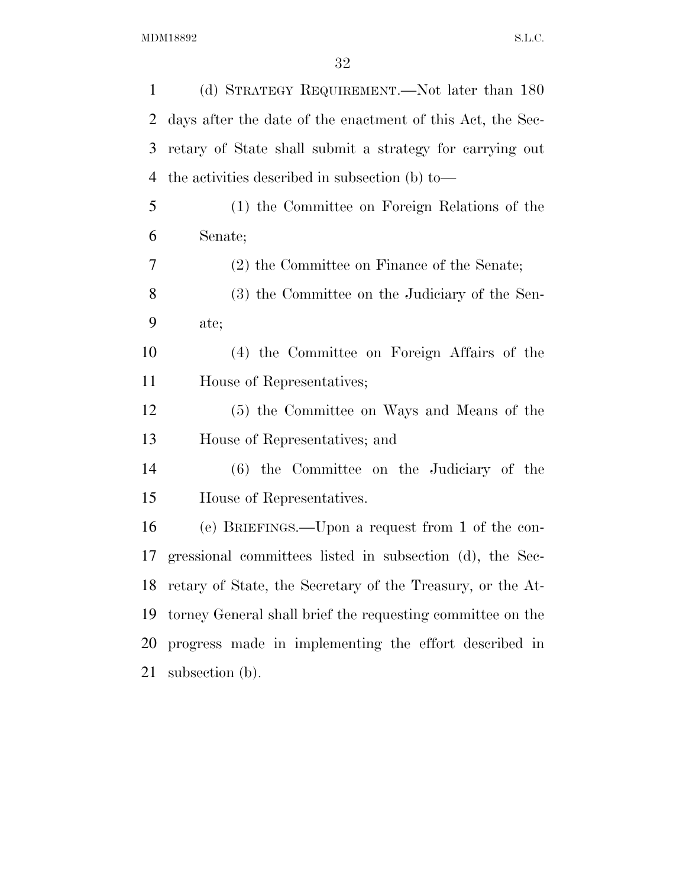| 1              | (d) STRATEGY REQUIREMENT.—Not later than 180                  |
|----------------|---------------------------------------------------------------|
| $\overline{2}$ | days after the date of the enactment of this Act, the Sec-    |
| 3              | retary of State shall submit a strategy for carrying out      |
| 4              | the activities described in subsection (b) to-                |
| 5              | (1) the Committee on Foreign Relations of the                 |
| 6              | Senate;                                                       |
| 7              | (2) the Committee on Finance of the Senate;                   |
| 8              | (3) the Committee on the Judiciary of the Sen-                |
| 9              | ate;                                                          |
| 10             | (4) the Committee on Foreign Affairs of the                   |
| 11             | House of Representatives;                                     |
| 12             | (5) the Committee on Ways and Means of the                    |
| 13             | House of Representatives; and                                 |
| 14             | $(6)$ the Committee on the Judiciary of the                   |
| 15             | House of Representatives.                                     |
| 16             | (e) BRIEFINGS.—Upon a request from 1 of the con-              |
| 17             | gressional committees listed in subsection (d), the Sec-      |
|                | 18 retary of State, the Secretary of the Treasury, or the At- |
| 19             | torney General shall brief the requesting committee on the    |
| 20             | progress made in implementing the effort described in         |
| 21             | subsection (b).                                               |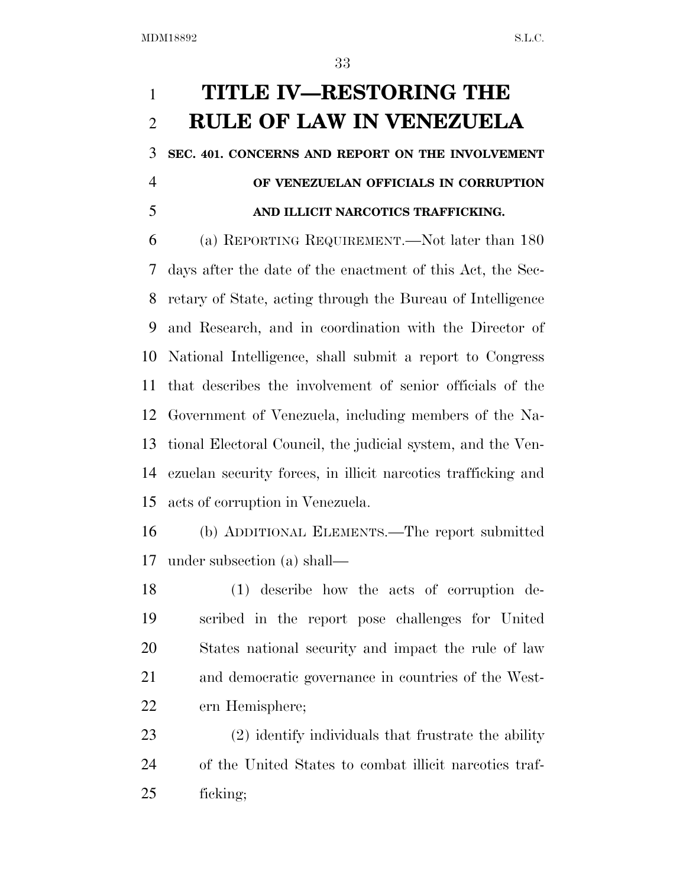## **TITLE IV—RESTORING THE RULE OF LAW IN VENEZUELA**

**SEC. 401. CONCERNS AND REPORT ON THE INVOLVEMENT** 

### **OF VENEZUELAN OFFICIALS IN CORRUPTION AND ILLICIT NARCOTICS TRAFFICKING.**

 (a) REPORTING REQUIREMENT.—Not later than 180 days after the date of the enactment of this Act, the Sec- retary of State, acting through the Bureau of Intelligence and Research, and in coordination with the Director of National Intelligence, shall submit a report to Congress that describes the involvement of senior officials of the Government of Venezuela, including members of the Na- tional Electoral Council, the judicial system, and the Ven- ezuelan security forces, in illicit narcotics trafficking and acts of corruption in Venezuela.

 (b) ADDITIONAL ELEMENTS.—The report submitted under subsection (a) shall—

 (1) describe how the acts of corruption de- scribed in the report pose challenges for United States national security and impact the rule of law and democratic governance in countries of the West-ern Hemisphere;

 (2) identify individuals that frustrate the ability of the United States to combat illicit narcotics traf-ficking;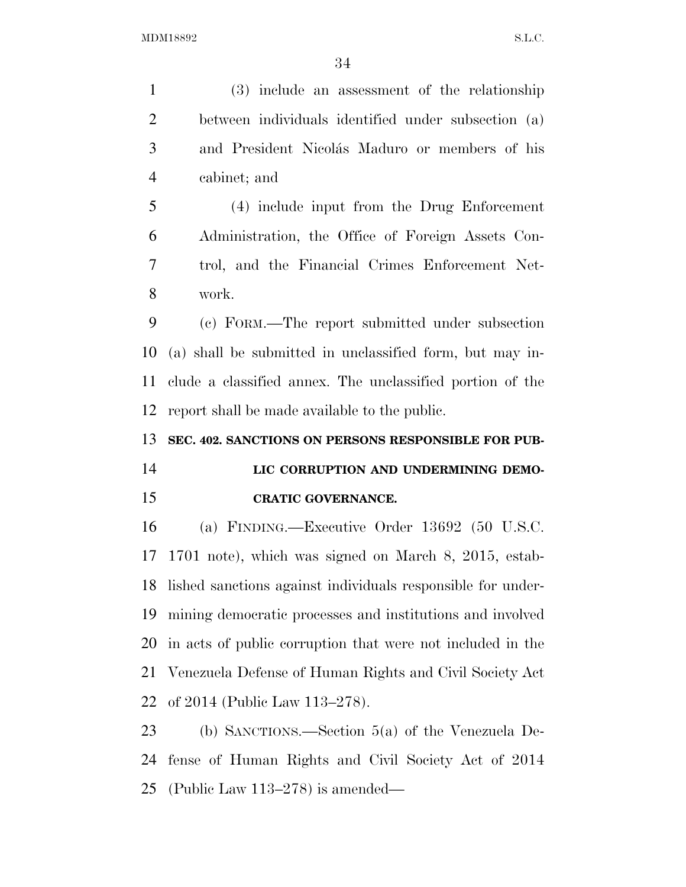| $\mathbf{1}$   | (3) include an assessment of the relationship                  |
|----------------|----------------------------------------------------------------|
| $\overline{2}$ | between individuals identified under subsection (a)            |
| 3              | and President Nicolás Maduro or members of his                 |
| $\overline{4}$ | cabinet; and                                                   |
| 5              | (4) include input from the Drug Enforcement                    |
| 6              | Administration, the Office of Foreign Assets Con-              |
| $\tau$         | trol, and the Financial Crimes Enforcement Net-                |
| 8              | work.                                                          |
| 9              | (c) FORM.—The report submitted under subsection                |
| 10             | (a) shall be submitted in unclassified form, but may in-       |
| 11             | clude a classified annex. The unclassified portion of the      |
| 12             | report shall be made available to the public.                  |
|                |                                                                |
| 13             | SEC. 402. SANCTIONS ON PERSONS RESPONSIBLE FOR PUB-            |
| 14             | LIC CORRUPTION AND UNDERMINING DEMO-                           |
| 15             | <b>CRATIC GOVERNANCE.</b>                                      |
| 16             | (a) FINDING.—Executive Order 13692 (50 U.S.C.                  |
| 17             | 1701 note), which was signed on March 8, 2015, estab-          |
|                | 18 lished sanctions against individuals responsible for under- |
| 19             | mining democratic processes and institutions and involved      |
| 20             | in acts of public corruption that were not included in the     |
| 21             | Venezuela Defense of Human Rights and Civil Society Act        |
| 22             | of 2014 (Public Law 113–278).                                  |
| 23             | (b) SANCTIONS.—Section $5(a)$ of the Venezuela De-             |
| 24             | fense of Human Rights and Civil Society Act of 2014            |

(Public Law 113–278) is amended—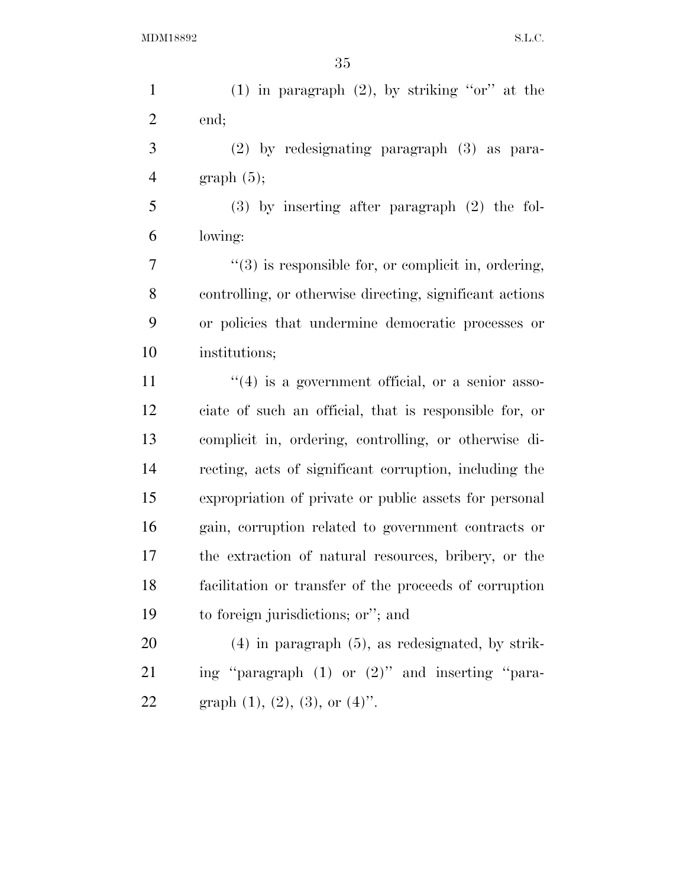1 (1) in paragraph (2), by striking "or" at the end;

 (2) by redesignating paragraph (3) as para-4 graph  $(5)$ ;

 (3) by inserting after paragraph (2) the fol-lowing:

 $\frac{1}{2}$  ''(3) is responsible for, or complicit in, ordering, controlling, or otherwise directing, significant actions or policies that undermine democratic processes or institutions;

 $\frac{u(4)}{3}$  is a government official, or a senior asso- ciate of such an official, that is responsible for, or complicit in, ordering, controlling, or otherwise di- recting, acts of significant corruption, including the expropriation of private or public assets for personal gain, corruption related to government contracts or the extraction of natural resources, bribery, or the facilitation or transfer of the proceeds of corruption to foreign jurisdictions; or''; and

 (4) in paragraph (5), as redesignated, by strik- ing ''paragraph (1) or (2)'' and inserting ''para-22 graph  $(1)$ ,  $(2)$ ,  $(3)$ , or  $(4)$ ".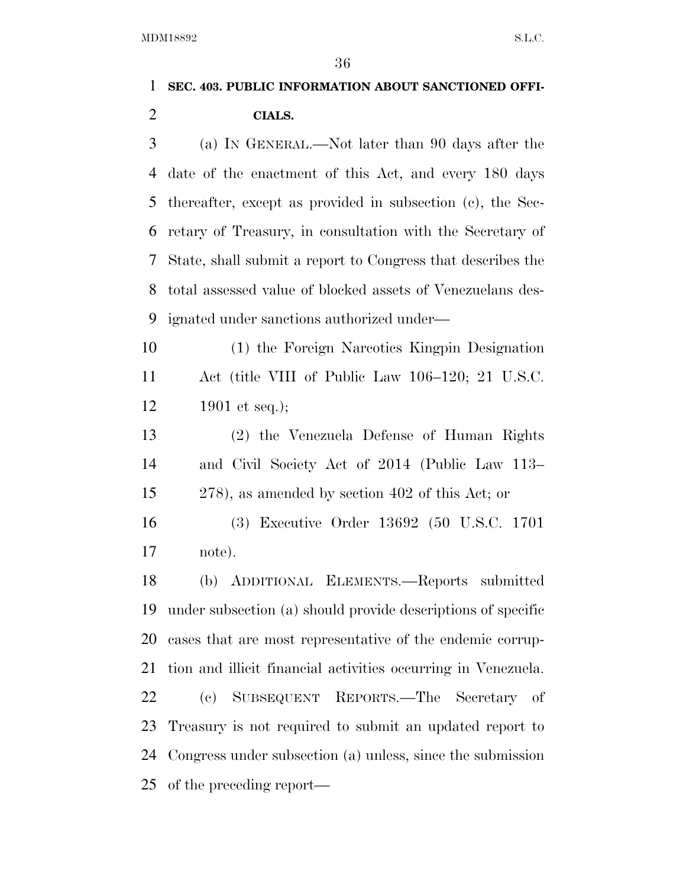## **SEC. 403. PUBLIC INFORMATION ABOUT SANCTIONED OFFI-CIALS.**

 (a) IN GENERAL.—Not later than 90 days after the date of the enactment of this Act, and every 180 days thereafter, except as provided in subsection (c), the Sec- retary of Treasury, in consultation with the Secretary of State, shall submit a report to Congress that describes the total assessed value of blocked assets of Venezuelans des-ignated under sanctions authorized under—

 (1) the Foreign Narcotics Kingpin Designation Act (title VIII of Public Law 106–120; 21 U.S.C. 1901 et seq.);

 (2) the Venezuela Defense of Human Rights and Civil Society Act of 2014 (Public Law 113– 278), as amended by section 402 of this Act; or

 (3) Executive Order 13692 (50 U.S.C. 1701 note).

 (b) ADDITIONAL ELEMENTS.—Reports submitted under subsection (a) should provide descriptions of specific cases that are most representative of the endemic corrup- tion and illicit financial activities occurring in Venezuela. (c) SUBSEQUENT REPORTS.—The Secretary of Treasury is not required to submit an updated report to Congress under subsection (a) unless, since the submission of the preceding report—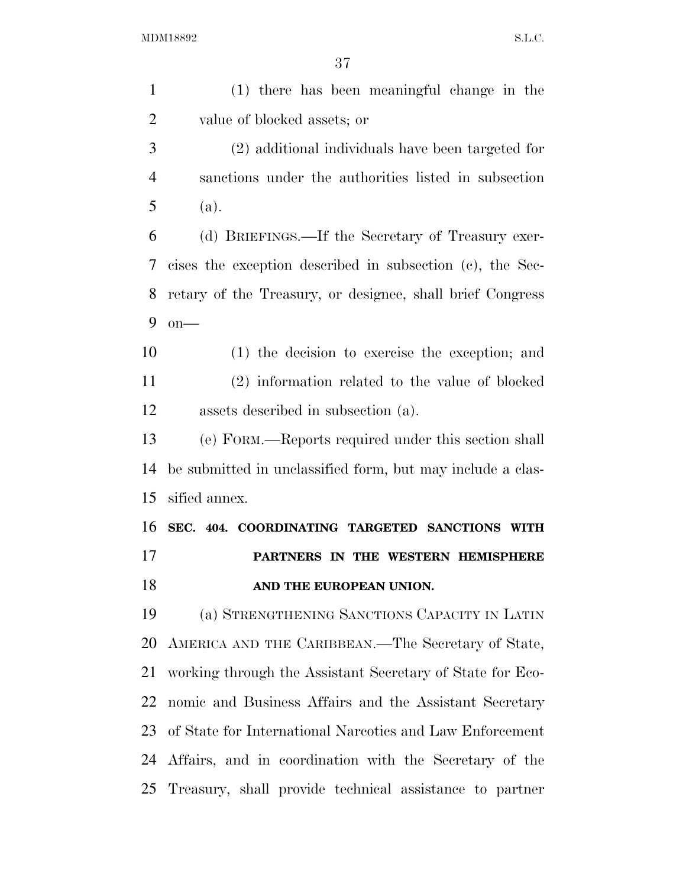(1) there has been meaningful change in the value of blocked assets; or (2) additional individuals have been targeted for sanctions under the authorities listed in subsection (a). (d) BRIEFINGS.—If the Secretary of Treasury exer- cises the exception described in subsection (c), the Sec- retary of the Treasury, or designee, shall brief Congress on— (1) the decision to exercise the exception; and (2) information related to the value of blocked assets described in subsection (a). (e) FORM.—Reports required under this section shall be submitted in unclassified form, but may include a clas- sified annex. **SEC. 404. COORDINATING TARGETED SANCTIONS WITH PARTNERS IN THE WESTERN HEMISPHERE AND THE EUROPEAN UNION.**  (a) STRENGTHENING SANCTIONS CAPACITY IN LATIN AMERICA AND THE CARIBBEAN.—The Secretary of State, working through the Assistant Secretary of State for Eco- nomic and Business Affairs and the Assistant Secretary of State for International Narcotics and Law Enforcement Affairs, and in coordination with the Secretary of the Treasury, shall provide technical assistance to partner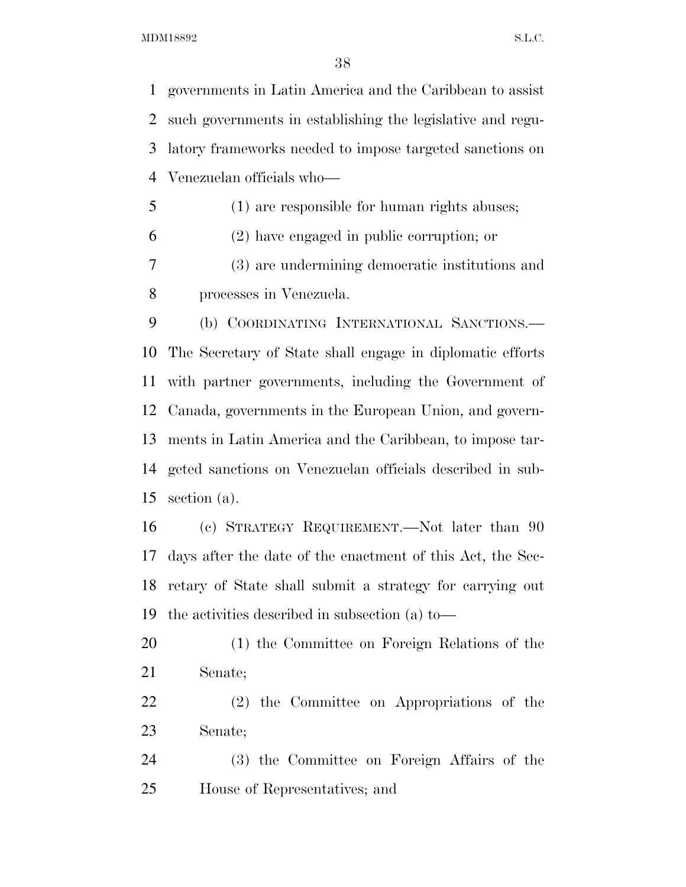governments in Latin America and the Caribbean to assist such governments in establishing the legislative and regu- latory frameworks needed to impose targeted sanctions on Venezuelan officials who—

(1) are responsible for human rights abuses;

(2) have engaged in public corruption; or

 (3) are undermining democratic institutions and processes in Venezuela.

 (b) COORDINATING INTERNATIONAL SANCTIONS.— The Secretary of State shall engage in diplomatic efforts with partner governments, including the Government of Canada, governments in the European Union, and govern- ments in Latin America and the Caribbean, to impose tar- geted sanctions on Venezuelan officials described in sub-section (a).

 (c) STRATEGY REQUIREMENT.—Not later than 90 days after the date of the enactment of this Act, the Sec- retary of State shall submit a strategy for carrying out the activities described in subsection (a) to—

- (1) the Committee on Foreign Relations of the Senate;
- (2) the Committee on Appropriations of the Senate;
- (3) the Committee on Foreign Affairs of the House of Representatives; and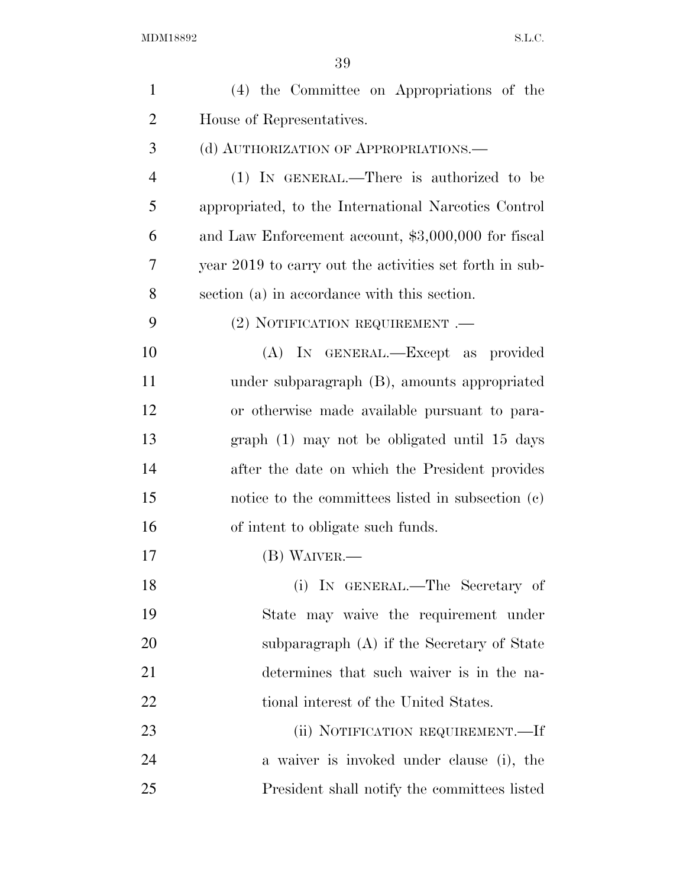| $\mathbf{1}$   | (4) the Committee on Appropriations of the              |
|----------------|---------------------------------------------------------|
| $\overline{2}$ | House of Representatives.                               |
| 3              | (d) AUTHORIZATION OF APPROPRIATIONS.—                   |
| $\overline{4}$ | (1) IN GENERAL.—There is authorized to be               |
| 5              | appropriated, to the International Narcotics Control    |
| 6              | and Law Enforcement account, \$3,000,000 for fiscal     |
| 7              | year 2019 to carry out the activities set forth in sub- |
| 8              | section (a) in accordance with this section.            |
| 9              | $(2)$ NOTIFICATION REQUIREMENT .—                       |
| 10             | (A) IN GENERAL.—Except as provided                      |
| 11             | under subparagraph (B), amounts appropriated            |
| 12             | or otherwise made available pursuant to para-           |
| 13             | graph (1) may not be obligated until 15 days            |
| 14             | after the date on which the President provides          |
| 15             | notice to the committees listed in subsection (c)       |
| 16             | of intent to obligate such funds.                       |
| 17             | (B) WAIVER.—                                            |
| 18             | (i) IN GENERAL.—The Secretary of                        |
| 19             | State may waive the requirement under                   |
| 20             | subparagraph $(A)$ if the Secretary of State            |
| 21             | determines that such waiver is in the na-               |
| <u>22</u>      | tional interest of the United States.                   |
| 23             | (ii) NOTIFICATION REQUIREMENT.—If                       |
| 24             | a waiver is invoked under clause (i), the               |
| 25             | President shall notify the committees listed            |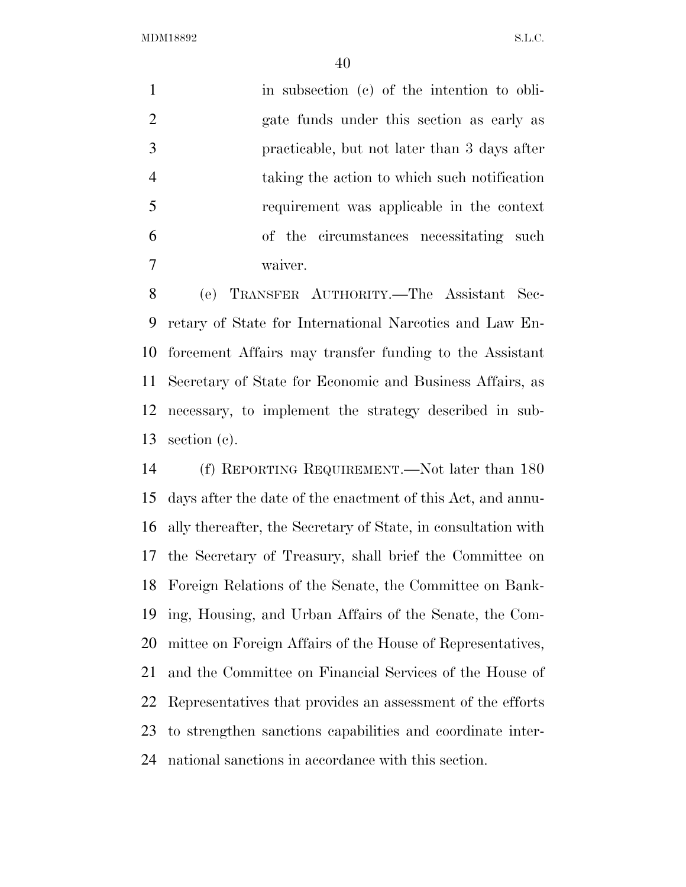1 in subsection (c) of the intention to obli- gate funds under this section as early as practicable, but not later than 3 days after taking the action to which such notification requirement was applicable in the context of the circumstances necessitating such waiver.

 (e) TRANSFER AUTHORITY.—The Assistant Sec- retary of State for International Narcotics and Law En- forcement Affairs may transfer funding to the Assistant Secretary of State for Economic and Business Affairs, as necessary, to implement the strategy described in sub-section (c).

 (f) REPORTING REQUIREMENT.—Not later than 180 days after the date of the enactment of this Act, and annu- ally thereafter, the Secretary of State, in consultation with the Secretary of Treasury, shall brief the Committee on Foreign Relations of the Senate, the Committee on Bank- ing, Housing, and Urban Affairs of the Senate, the Com- mittee on Foreign Affairs of the House of Representatives, and the Committee on Financial Services of the House of Representatives that provides an assessment of the efforts to strengthen sanctions capabilities and coordinate inter-national sanctions in accordance with this section.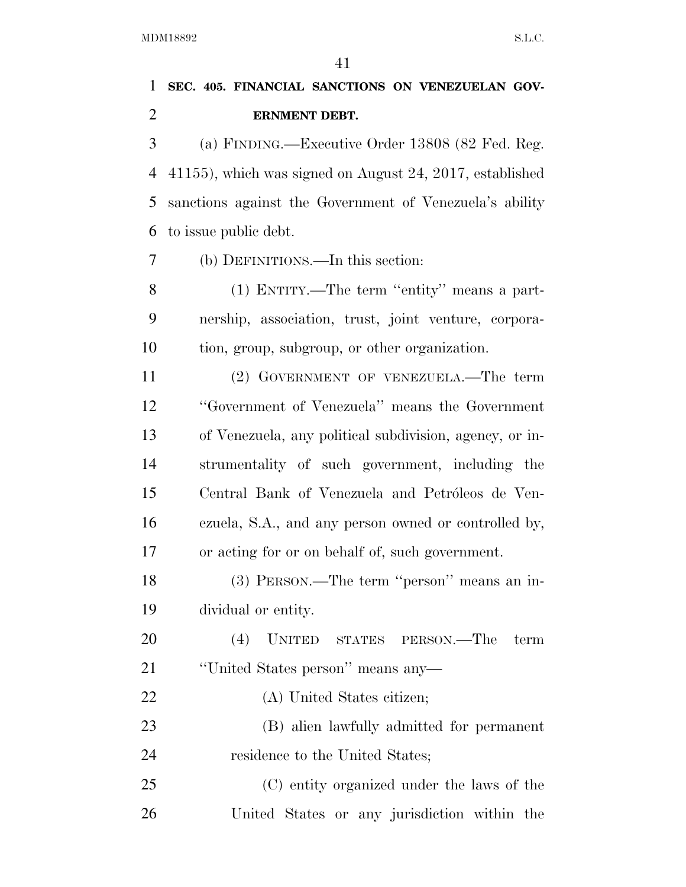## **SEC. 405. FINANCIAL SANCTIONS ON VENEZUELAN GOV-ERNMENT DEBT.**

 (a) FINDING.—Executive Order 13808 (82 Fed. Reg. 41155), which was signed on August 24, 2017, established sanctions against the Government of Venezuela's ability to issue public debt.

(b) DEFINITIONS.—In this section:

 (1) ENTITY.—The term ''entity'' means a part- nership, association, trust, joint venture, corpora-tion, group, subgroup, or other organization.

 (2) GOVERNMENT OF VENEZUELA.—The term ''Government of Venezuela'' means the Government of Venezuela, any political subdivision, agency, or in- strumentality of such government, including the 15 Central Bank of Venezuela and Petróleos de Ven- ezuela, S.A., and any person owned or controlled by, or acting for or on behalf of, such government.

 (3) PERSON.—The term ''person'' means an in-dividual or entity.

 (4) UNITED STATES PERSON.—The term ''United States person'' means any—

(A) United States citizen;

 (B) alien lawfully admitted for permanent 24 residence to the United States;

 (C) entity organized under the laws of the United States or any jurisdiction within the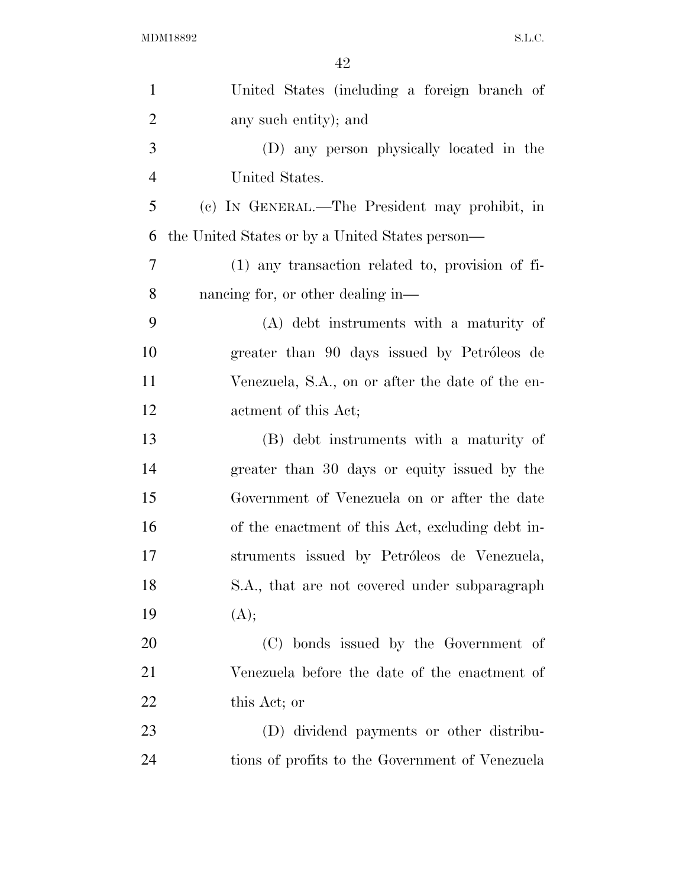| $\mathbf{1}$   | United States (including a foreign branch of     |
|----------------|--------------------------------------------------|
| $\overline{2}$ | any such entity); and                            |
| 3              | (D) any person physically located in the         |
| $\overline{4}$ | United States.                                   |
| 5              | (c) IN GENERAL.—The President may prohibit, in   |
| 6              | the United States or by a United States person—  |
| 7              | (1) any transaction related to, provision of fi- |
| 8              | nancing for, or other dealing in—                |
| 9              | (A) debt instruments with a maturity of          |
| 10             | greater than 90 days issued by Petróleos de      |
| 11             | Venezuela, S.A., on or after the date of the en- |
| 12             | actment of this Act;                             |
| 13             | (B) debt instruments with a maturity of          |
| 14             | greater than 30 days or equity issued by the     |
| 15             | Government of Venezuela on or after the date     |
| 16             | of the enactment of this Act, excluding debt in- |
| 17             | struments issued by Petróleos de Venezuela,      |
| 18             | S.A., that are not covered under subparagraph    |
| 19             | (A);                                             |
| 20             | (C) bonds issued by the Government of            |
| 21             | Venezuela before the date of the enactment of    |
| 22             | this Act; or                                     |
| 23             | (D) dividend payments or other distribu-         |
| 24             | tions of profits to the Government of Venezuela  |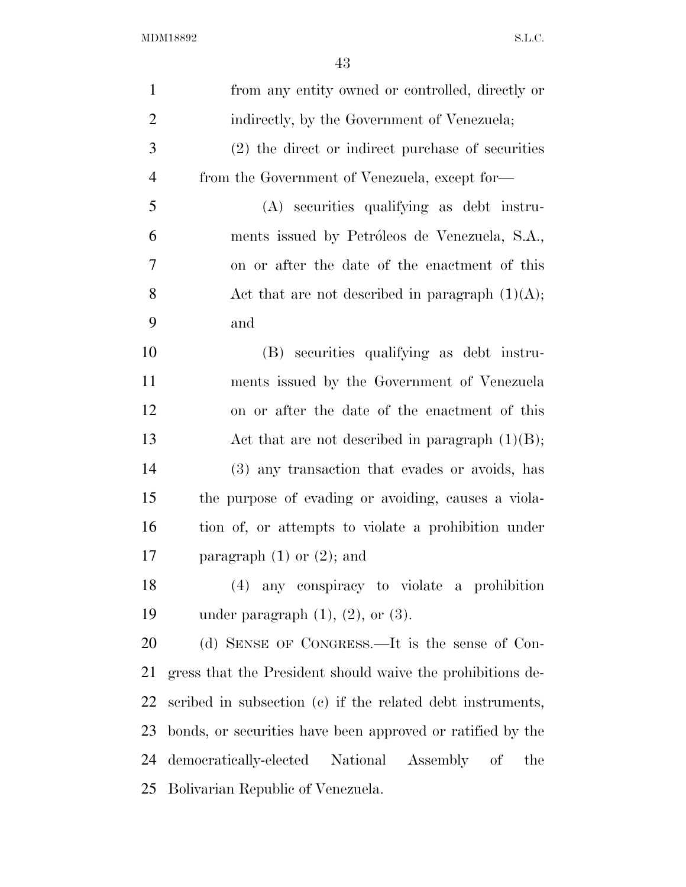| $\mathbf{1}$   | from any entity owned or controlled, directly or           |
|----------------|------------------------------------------------------------|
| $\overline{2}$ | indirectly, by the Government of Venezuela;                |
| 3              | $(2)$ the direct or indirect purchase of securities        |
| $\overline{4}$ | from the Government of Venezuela, except for-              |
| 5              | (A) securities qualifying as debt instru-                  |
| 6              | ments issued by Petróleos de Venezuela, S.A.,              |
| 7              | on or after the date of the enactment of this              |
| 8              | Act that are not described in paragraph $(1)(A)$ ;         |
| 9              | and                                                        |
| 10             | (B) securities qualifying as debt instru-                  |
| 11             | ments issued by the Government of Venezuela                |
| 12             | on or after the date of the enactment of this              |
| 13             | Act that are not described in paragraph $(1)(B)$ ;         |
| 14             | (3) any transaction that evades or avoids, has             |
| 15             | the purpose of evading or avoiding, causes a viola-        |
| 16             | tion of, or attempts to violate a prohibition under        |
| 17             | paragraph $(1)$ or $(2)$ ; and                             |
| 18             | (4) any conspiracy to violate a prohibition                |
| 19             | under paragraph $(1)$ , $(2)$ , or $(3)$ .                 |
| 20             | (d) SENSE OF CONGRESS.—It is the sense of Con-             |
| 21             | gress that the President should waive the prohibitions de- |
| 22             | scribed in subsection (c) if the related debt instruments, |
| 23             | bonds, or securities have been approved or ratified by the |
| 24             | democratically-elected National Assembly of<br>the         |
| 25             | Bolivarian Republic of Venezuela.                          |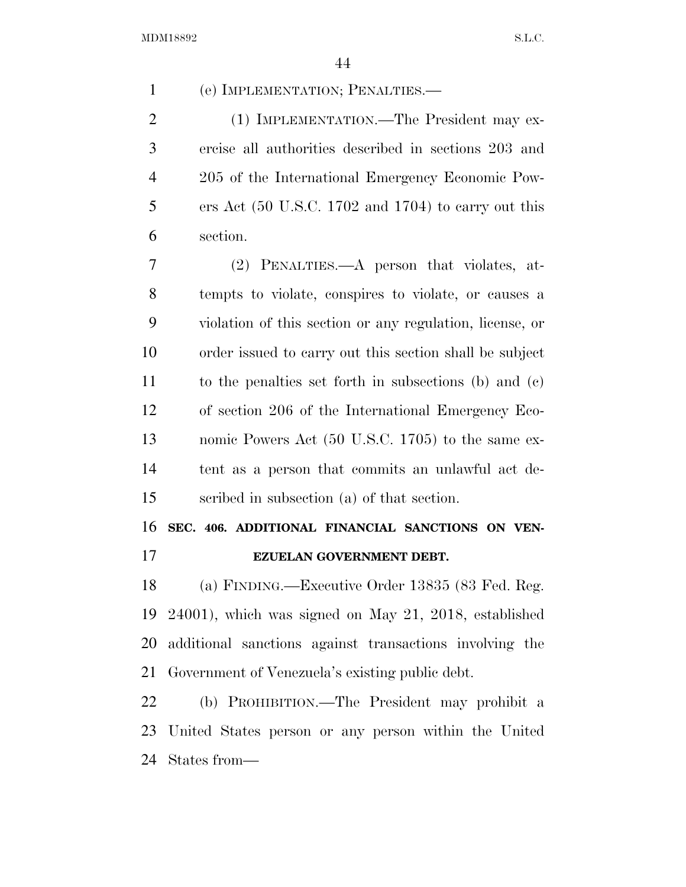| 1              | (e) IMPLEMENTATION; PENALTIES.—                                         |
|----------------|-------------------------------------------------------------------------|
| $\overline{2}$ | (1) IMPLEMENTATION.—The President may ex-                               |
| 3              | ercise all authorities described in sections 203 and                    |
| 4              | 205 of the International Emergency Economic Pow-                        |
| 5              | ers Act $(50 \text{ U.S.C. } 1702 \text{ and } 1704)$ to carry out this |
| 6              | section.                                                                |
| 7              | (2) PENALTIES.—A person that violates, at-                              |
| 8              | tempts to violate, conspires to violate, or causes a                    |
| 9              | violation of this section or any regulation, license, or                |
| 10             | order issued to carry out this section shall be subject                 |
| 11             | to the penalties set forth in subsections (b) and $(c)$                 |
| 12             | of section 206 of the International Emergency Eco-                      |
| 13             | nomic Powers Act (50 U.S.C. 1705) to the same ex-                       |
| 14             | tent as a person that commits an unlawful act de-                       |
| 15             | scribed in subsection (a) of that section.                              |
| 16             | SEC. 406. ADDITIONAL FINANCIAL SANCTIONS ON VEN-                        |
| 17             | EZUELAN GOVERNMENT DEBT.                                                |
| 18             | (a) FINDING.—Executive Order 13835 (83 Fed. Reg.                        |
| 19             | $24001$ , which was signed on May 21, 2018, established                 |
| 20             | additional sanctions against transactions involving the                 |
| 21             | Government of Venezuela's existing public debt.                         |
| 22             | (b) PROHIBITION.—The President may prohibit a                           |
| 23             | United States person or any person within the United                    |

States from—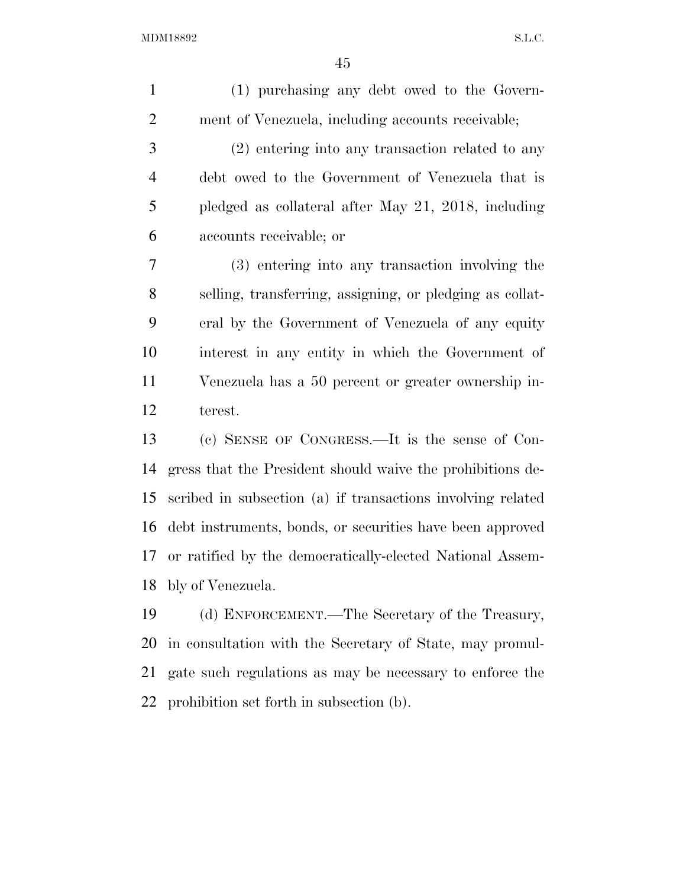| (1) purchasing any debt owed to the Govern-                 |
|-------------------------------------------------------------|
| ment of Venezuela, including accounts receivable;           |
| $(2)$ entering into any transaction related to any          |
| debt owed to the Government of Venezuela that is            |
| pledged as collateral after May 21, 2018, including         |
| accounts receivable; or                                     |
| (3) entering into any transaction involving the             |
| selling, transferring, assigning, or pledging as collat-    |
| eral by the Government of Venezuela of any equity           |
| interest in any entity in which the Government of           |
| Venezuela has a 50 percent or greater ownership in-         |
| terest.                                                     |
| (c) SENSE OF CONGRESS.—It is the sense of Con-              |
| gress that the President should waive the prohibitions de-  |
| scribed in subsection (a) if transactions involving related |
| debt instruments, bonds, or securities have been approved   |
| or ratified by the democratically-elected National Assem-   |
| bly of Venezuela.                                           |
| (d) ENFORCEMENT.—The Secretary of the Treasury,             |
| in consultation with the Secretary of State, may promul-    |
| gate such regulations as may be necessary to enforce the    |
| prohibition set forth in subsection (b).                    |
|                                                             |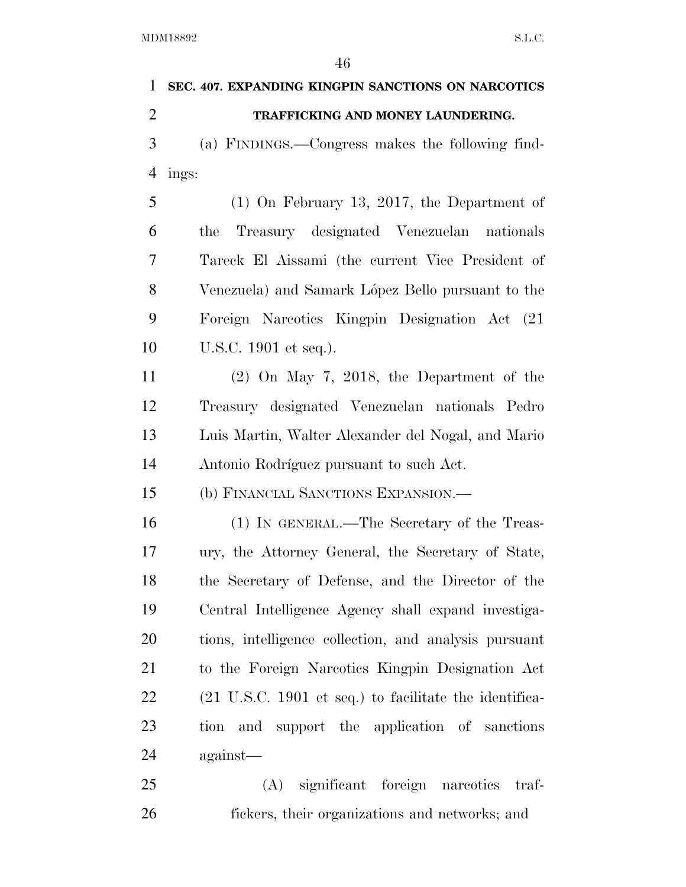| 1              | SEC. 407. EXPANDING KINGPIN SANCTIONS ON NARCOTICS                        |
|----------------|---------------------------------------------------------------------------|
| $\overline{2}$ | TRAFFICKING AND MONEY LAUNDERING.                                         |
| 3              | (a) FINDINGS.—Congress makes the following find-                          |
| 4              | ings:                                                                     |
| 5              | $(1)$ On February 13, 2017, the Department of                             |
| 6              | Treasury designated Venezuelan nationals<br>the                           |
| 7              | Tareck El Aissami (the current Vice President of                          |
| 8              | Venezuela) and Samark López Bello pursuant to the                         |
| 9              | Foreign Narcotics Kingpin Designation Act (21)                            |
| 10             | U.S.C. 1901 et seq.).                                                     |
| 11             | $(2)$ On May 7, 2018, the Department of the                               |
| 12             | Treasury designated Venezuelan nationals Pedro                            |
| 13             | Luis Martin, Walter Alexander del Nogal, and Mario                        |
| 14             | Antonio Rodríguez pursuant to such Act.                                   |
| 15             | (b) FINANCIAL SANCTIONS EXPANSION.—                                       |
| 16             | (1) IN GENERAL.—The Secretary of the Treas-                               |
| 17             | ury, the Attorney General, the Secretary of State,                        |
| 18             | the Secretary of Defense, and the Director of the                         |
| 19             | Central Intelligence Agency shall expand investiga-                       |
| 20             | tions, intelligence collection, and analysis pursuant                     |
| 21             | to the Foreign Narcotics Kingpin Designation Act                          |
| 22             | $(21 \text{ U.S.C. } 1901 \text{ et seq.})$ to facilitate the identifica- |
| 23             | tion and support the application of sanctions                             |
| 24             | against—                                                                  |
| 25             | significant foreign narcotics<br>(A)<br>traf-                             |
| 26             | fickers, their organizations and networks; and                            |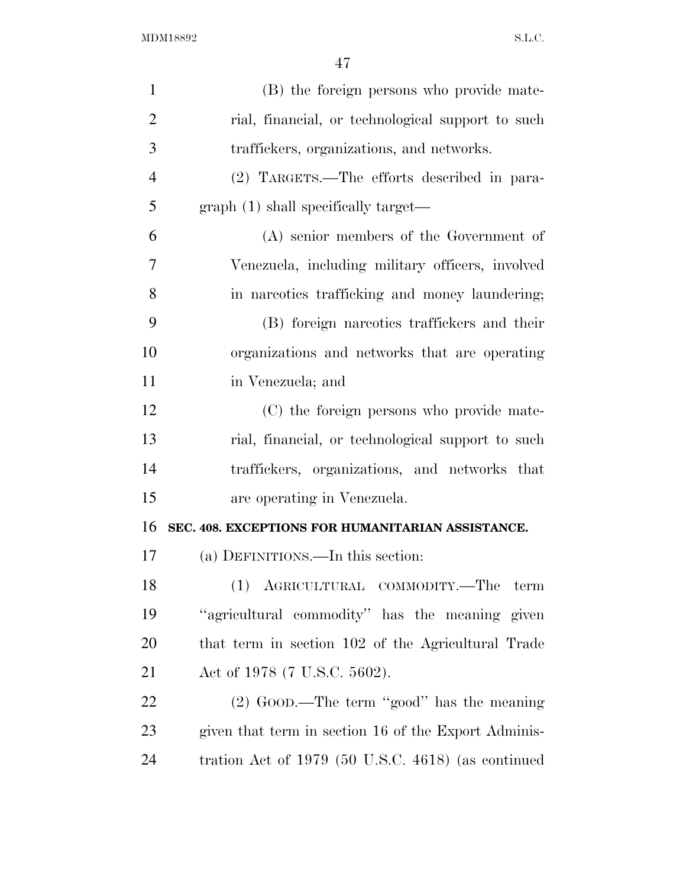| $\mathbf{1}$   | (B) the foreign persons who provide mate-            |
|----------------|------------------------------------------------------|
| $\overline{2}$ | rial, financial, or technological support to such    |
| 3              | traffickers, organizations, and networks.            |
| $\overline{4}$ | (2) TARGETS.—The efforts described in para-          |
| 5              | graph (1) shall specifically target—                 |
| 6              | $(A)$ senior members of the Government of            |
| 7              | Venezuela, including military officers, involved     |
| 8              | in narcotics trafficking and money laundering;       |
| 9              | (B) foreign narcotics traffickers and their          |
| 10             | organizations and networks that are operating        |
| 11             | in Venezuela; and                                    |
| 12             | (C) the foreign persons who provide mate-            |
| 13             | rial, financial, or technological support to such    |
| 14             | traffickers, organizations, and networks that        |
| 15             | are operating in Venezuela.                          |
| 16             | SEC. 408. EXCEPTIONS FOR HUMANITARIAN ASSISTANCE.    |
| 17             | (a) DEFINITIONS.—In this section:                    |
| 18             | (1) AGRICULTURAL COMMODITY.—The<br>term              |
| 19             | "agricultural commodity" has the meaning given       |
| 20             | that term in section 102 of the Agricultural Trade   |
| 21             | Act of 1978 (7 U.S.C. 5602).                         |
| <u>22</u>      | $(2)$ GOOD.—The term "good" has the meaning          |
| 23             | given that term in section 16 of the Export Adminis- |
| 24             | tration Act of $1979$ (50 U.S.C. 4618) (as continued |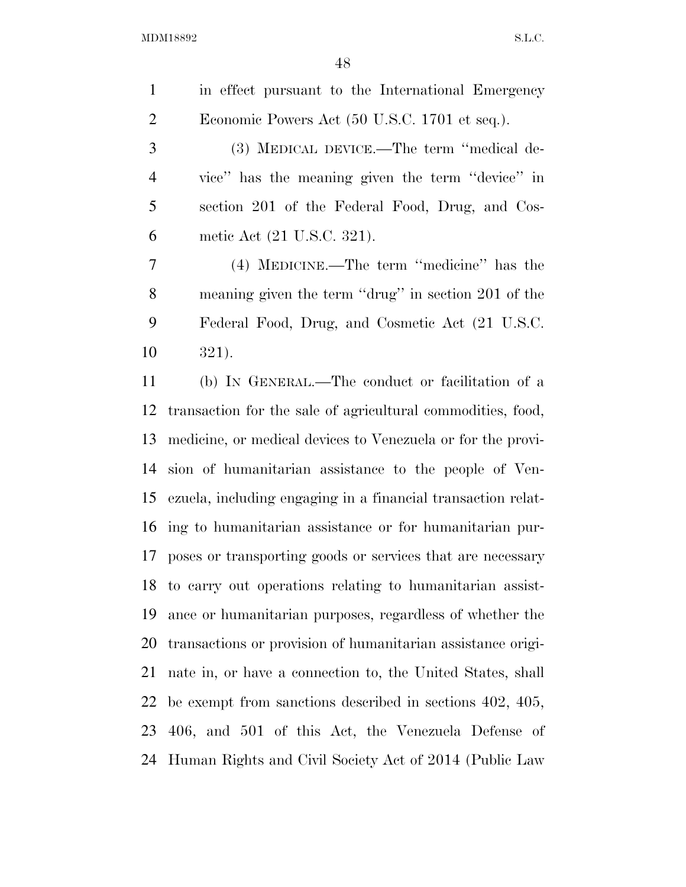| $\mathbf{1}$   | in effect pursuant to the International Emergency            |
|----------------|--------------------------------------------------------------|
| $\overline{2}$ | Economic Powers Act (50 U.S.C. 1701 et seq.).                |
| 3              | (3) MEDICAL DEVICE.—The term "medical de-                    |
| $\overline{4}$ | vice" has the meaning given the term "device" in             |
| 5              | section 201 of the Federal Food, Drug, and Cos-              |
| 6              | metic Act (21 U.S.C. 321).                                   |
| 7              | (4) MEDICINE.—The term "medicine" has the                    |
| 8              | meaning given the term "drug" in section 201 of the          |
| 9              | Federal Food, Drug, and Cosmetic Act (21 U.S.C.              |
| 10             | 321).                                                        |
| 11             | (b) IN GENERAL.—The conduct or facilitation of a             |
| 12             | transaction for the sale of agricultural commodities, food,  |
| 13             | medicine, or medical devices to Venezuela or for the provi-  |
| 14             | sion of humanitarian assistance to the people of Ven-        |
| 15             | ezuela, including engaging in a financial transaction relat- |
|                | 16 ing to humanitarian assistance or for humanitarian pur-   |
| 17             | poses or transporting goods or services that are necessary   |
|                | 18 to carry out operations relating to humanitarian assist-  |
| 19             | ance or humanitarian purposes, regardless of whether the     |
| 20             | transactions or provision of humanitarian assistance origi-  |
| 21             | nate in, or have a connection to, the United States, shall   |
| 22             | be exempt from sanctions described in sections $402, 405,$   |
|                | 23 406, and 501 of this Act, the Venezuela Defense of        |
|                |                                                              |

Human Rights and Civil Society Act of 2014 (Public Law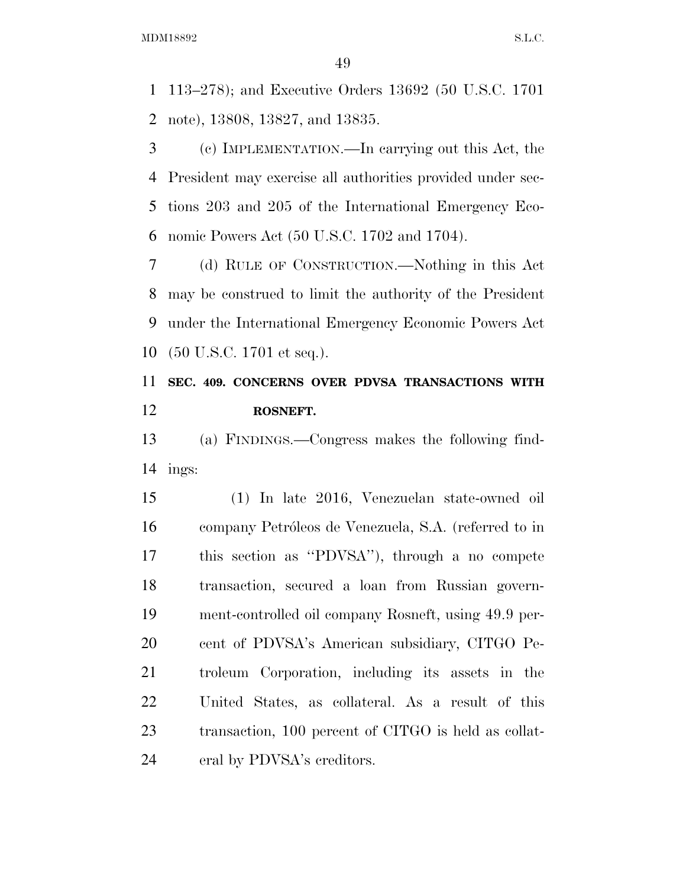113–278); and Executive Orders 13692 (50 U.S.C. 1701 note), 13808, 13827, and 13835.

 (c) IMPLEMENTATION.—In carrying out this Act, the President may exercise all authorities provided under sec- tions 203 and 205 of the International Emergency Eco-nomic Powers Act (50 U.S.C. 1702 and 1704).

 (d) RULE OF CONSTRUCTION.—Nothing in this Act may be construed to limit the authority of the President under the International Emergency Economic Powers Act (50 U.S.C. 1701 et seq.).

## **SEC. 409. CONCERNS OVER PDVSA TRANSACTIONS WITH ROSNEFT.**

 (a) FINDINGS.—Congress makes the following find-14 ings:

 (1) In late 2016, Venezuelan state-owned oil 16 company Petróleos de Venezuela, S.A. (referred to in this section as ''PDVSA''), through a no compete transaction, secured a loan from Russian govern- ment-controlled oil company Rosneft, using 49.9 per- cent of PDVSA's American subsidiary, CITGO Pe- troleum Corporation, including its assets in the United States, as collateral. As a result of this transaction, 100 percent of CITGO is held as collat-eral by PDVSA's creditors.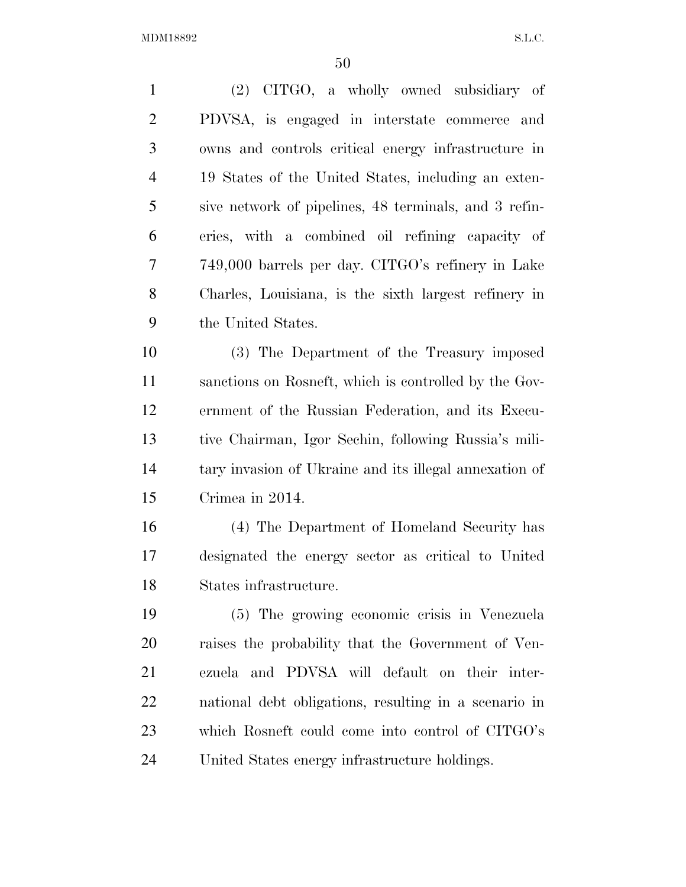(2) CITGO, a wholly owned subsidiary of PDVSA, is engaged in interstate commerce and owns and controls critical energy infrastructure in 19 States of the United States, including an exten- sive network of pipelines, 48 terminals, and 3 refin- eries, with a combined oil refining capacity of 749,000 barrels per day. CITGO's refinery in Lake Charles, Louisiana, is the sixth largest refinery in the United States. (3) The Department of the Treasury imposed sanctions on Rosneft, which is controlled by the Gov- ernment of the Russian Federation, and its Execu- tive Chairman, Igor Sechin, following Russia's mili- tary invasion of Ukraine and its illegal annexation of Crimea in 2014. (4) The Department of Homeland Security has designated the energy sector as critical to United States infrastructure. (5) The growing economic crisis in Venezuela raises the probability that the Government of Ven- ezuela and PDVSA will default on their inter- national debt obligations, resulting in a scenario in which Rosneft could come into control of CITGO's

United States energy infrastructure holdings.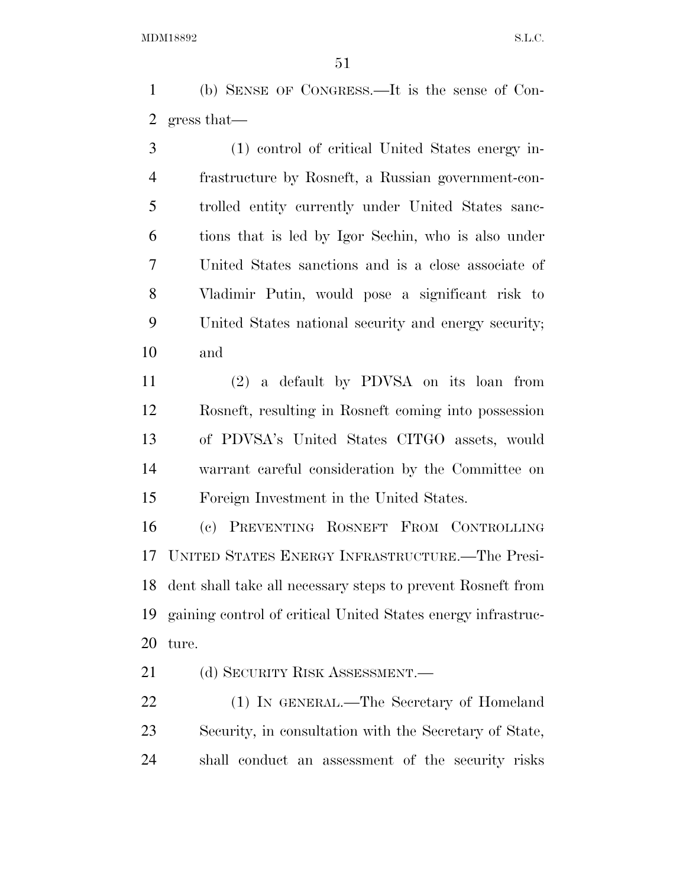(b) SENSE OF CONGRESS.—It is the sense of Con-gress that—

 (1) control of critical United States energy in- frastructure by Rosneft, a Russian government-con- trolled entity currently under United States sanc- tions that is led by Igor Sechin, who is also under United States sanctions and is a close associate of Vladimir Putin, would pose a significant risk to United States national security and energy security; and

 (2) a default by PDVSA on its loan from Rosneft, resulting in Rosneft coming into possession of PDVSA's United States CITGO assets, would warrant careful consideration by the Committee on Foreign Investment in the United States.

 (c) PREVENTING ROSNEFT FROM CONTROLLING UNITED STATES ENERGY INFRASTRUCTURE.—The Presi- dent shall take all necessary steps to prevent Rosneft from gaining control of critical United States energy infrastruc-ture.

21 (d) SECURITY RISK ASSESSMENT.

 (1) IN GENERAL.—The Secretary of Homeland Security, in consultation with the Secretary of State, shall conduct an assessment of the security risks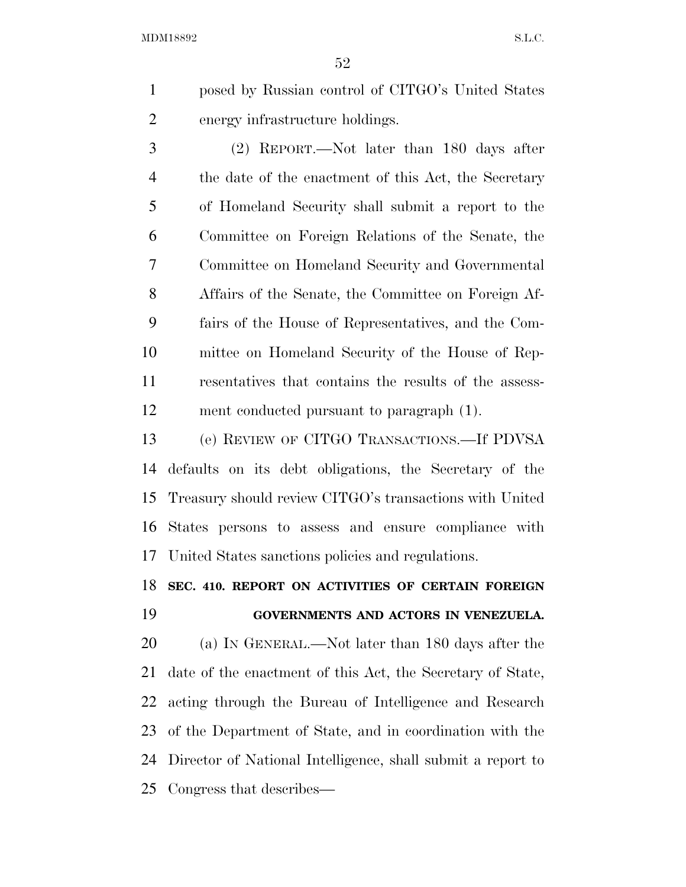posed by Russian control of CITGO's United States energy infrastructure holdings.

 (2) REPORT.—Not later than 180 days after the date of the enactment of this Act, the Secretary of Homeland Security shall submit a report to the Committee on Foreign Relations of the Senate, the Committee on Homeland Security and Governmental Affairs of the Senate, the Committee on Foreign Af- fairs of the House of Representatives, and the Com- mittee on Homeland Security of the House of Rep- resentatives that contains the results of the assess-ment conducted pursuant to paragraph (1).

 (e) REVIEW OF CITGO TRANSACTIONS.—If PDVSA defaults on its debt obligations, the Secretary of the Treasury should review CITGO's transactions with United States persons to assess and ensure compliance with United States sanctions policies and regulations.

### **SEC. 410. REPORT ON ACTIVITIES OF CERTAIN FOREIGN**

### **GOVERNMENTS AND ACTORS IN VENEZUELA.**

 (a) IN GENERAL.—Not later than 180 days after the date of the enactment of this Act, the Secretary of State, acting through the Bureau of Intelligence and Research of the Department of State, and in coordination with the Director of National Intelligence, shall submit a report to Congress that describes—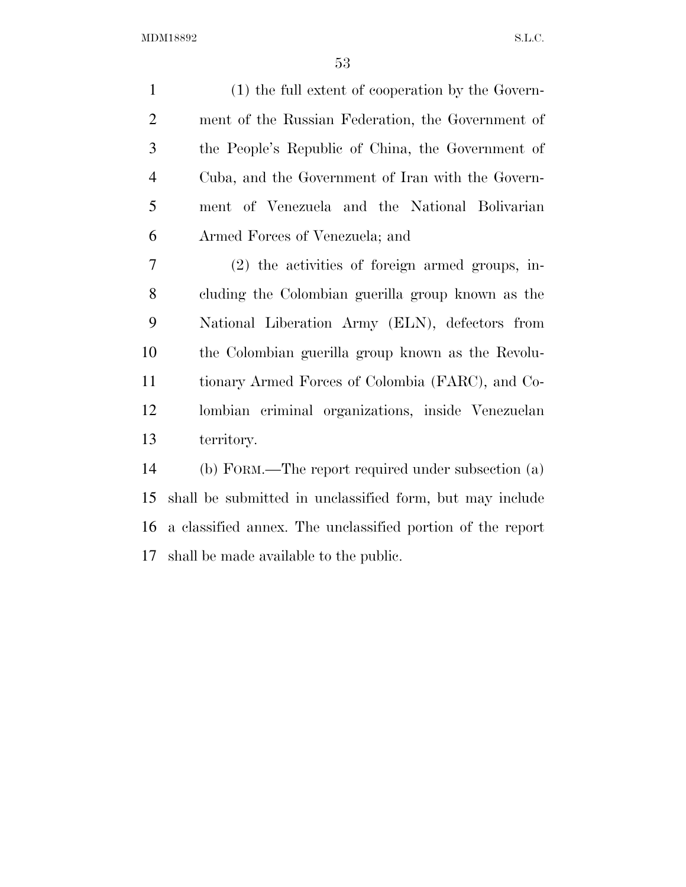(1) the full extent of cooperation by the Govern- ment of the Russian Federation, the Government of the People's Republic of China, the Government of Cuba, and the Government of Iran with the Govern- ment of Venezuela and the National Bolivarian Armed Forces of Venezuela; and (2) the activities of foreign armed groups, in- cluding the Colombian guerilla group known as the National Liberation Army (ELN), defectors from the Colombian guerilla group known as the Revolu- tionary Armed Forces of Colombia (FARC), and Co- lombian criminal organizations, inside Venezuelan territory. (b) FORM.—The report required under subsection (a) shall be submitted in unclassified form, but may include a classified annex. The unclassified portion of the report

shall be made available to the public.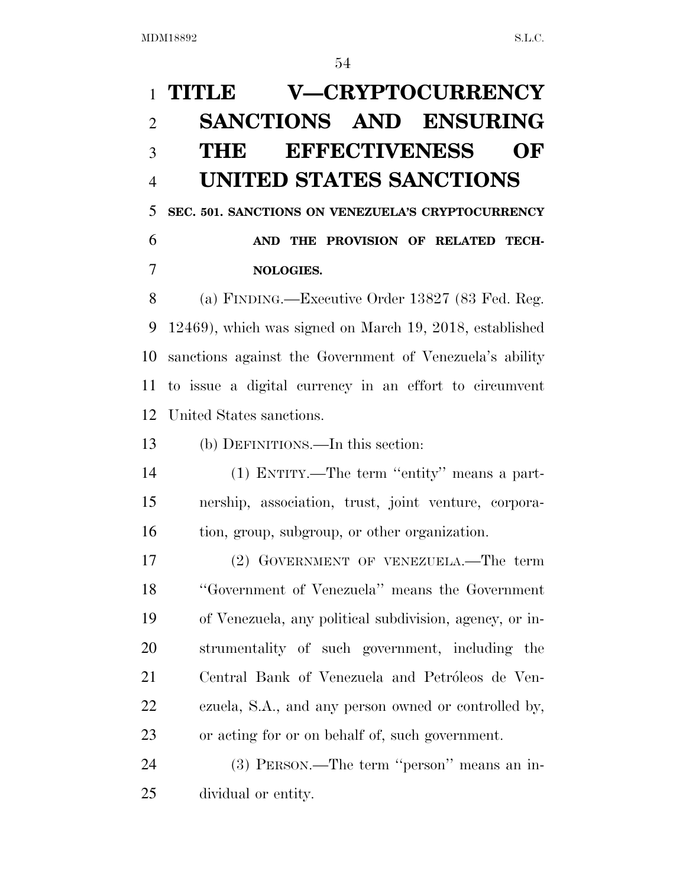## **TITLE V—CRYPTOCURRENCY SANCTIONS AND ENSURING THE EFFECTIVENESS OF UNITED STATES SANCTIONS**

 **SEC. 501. SANCTIONS ON VENEZUELA'S CRYPTOCURRENCY AND THE PROVISION OF RELATED TECH-NOLOGIES.** 

 (a) FINDING.—Executive Order 13827 (83 Fed. Reg. 12469), which was signed on March 19, 2018, established sanctions against the Government of Venezuela's ability to issue a digital currency in an effort to circumvent United States sanctions.

(b) DEFINITIONS.—In this section:

 (1) ENTITY.—The term ''entity'' means a part- nership, association, trust, joint venture, corpora-tion, group, subgroup, or other organization.

 (2) GOVERNMENT OF VENEZUELA.—The term ''Government of Venezuela'' means the Government of Venezuela, any political subdivision, agency, or in- strumentality of such government, including the 21 Central Bank of Venezuela and Petróleos de Ven- ezuela, S.A., and any person owned or controlled by, or acting for or on behalf of, such government.

 (3) PERSON.—The term ''person'' means an in-dividual or entity.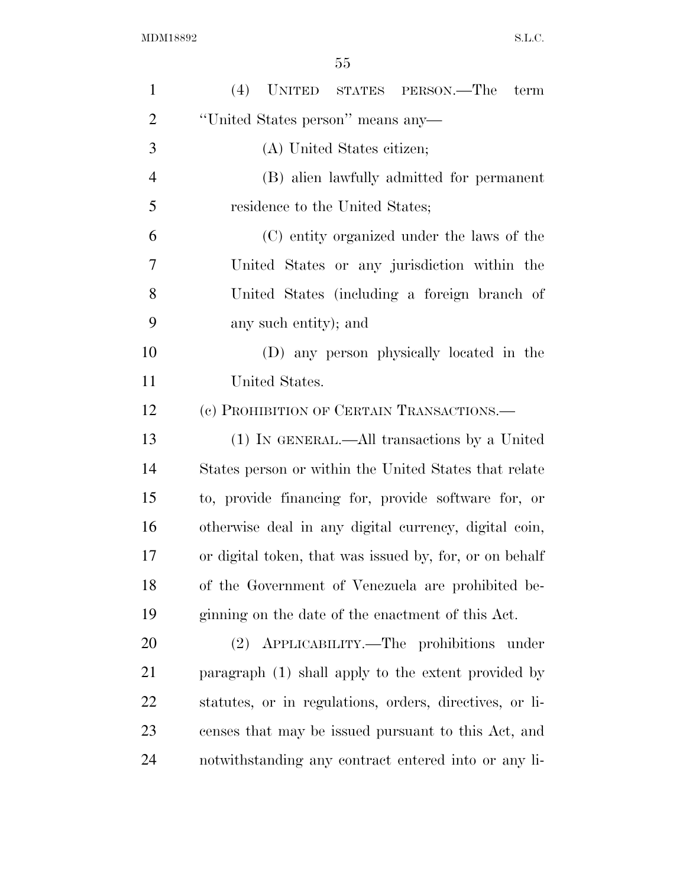| $\mathbf{1}$   | (4) UNITED STATES PERSON.—The<br>term                   |  |  |  |  |  |  |
|----------------|---------------------------------------------------------|--|--|--|--|--|--|
| $\overline{2}$ | "United States person" means any-                       |  |  |  |  |  |  |
| 3              | (A) United States citizen;                              |  |  |  |  |  |  |
| $\overline{4}$ | (B) alien lawfully admitted for permanent               |  |  |  |  |  |  |
| 5              | residence to the United States;                         |  |  |  |  |  |  |
| 6              | (C) entity organized under the laws of the              |  |  |  |  |  |  |
| 7              | United States or any jurisdiction within the            |  |  |  |  |  |  |
| 8              | United States (including a foreign branch of            |  |  |  |  |  |  |
| 9              | any such entity); and                                   |  |  |  |  |  |  |
| 10             | (D) any person physically located in the                |  |  |  |  |  |  |
| 11             | United States.                                          |  |  |  |  |  |  |
| 12             | (c) PROHIBITION OF CERTAIN TRANSACTIONS.—               |  |  |  |  |  |  |
| 13             | (1) IN GENERAL.—All transactions by a United            |  |  |  |  |  |  |
| 14             | States person or within the United States that relate   |  |  |  |  |  |  |
| 15             | to, provide financing for, provide software for, or     |  |  |  |  |  |  |
| 16             | otherwise deal in any digital currency, digital coin,   |  |  |  |  |  |  |
| 17             | or digital token, that was issued by, for, or on behalf |  |  |  |  |  |  |
| 18             | of the Government of Venezuela are prohibited be-       |  |  |  |  |  |  |
| 19             | ginning on the date of the enactment of this Act.       |  |  |  |  |  |  |
| 20             | (2) APPLICABILITY.—The prohibitions under               |  |  |  |  |  |  |
| 21             | paragraph (1) shall apply to the extent provided by     |  |  |  |  |  |  |
| <u>22</u>      | statutes, or in regulations, orders, directives, or li- |  |  |  |  |  |  |
| 23             | censes that may be issued pursuant to this Act, and     |  |  |  |  |  |  |
| 24             | notwithstanding any contract entered into or any li-    |  |  |  |  |  |  |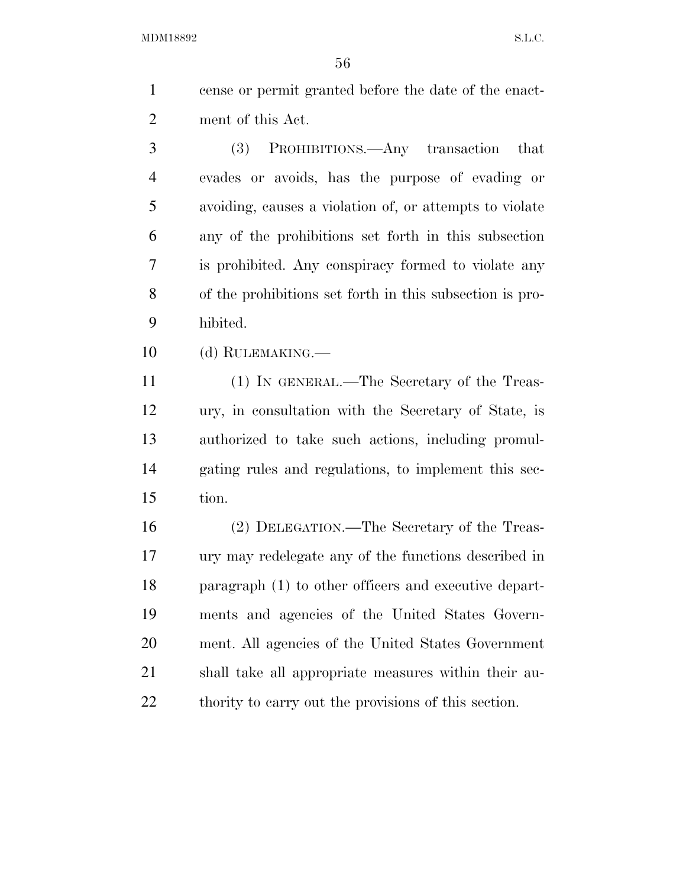cense or permit granted before the date of the enact-ment of this Act.

 (3) PROHIBITIONS.—Any transaction that evades or avoids, has the purpose of evading or avoiding, causes a violation of, or attempts to violate any of the prohibitions set forth in this subsection is prohibited. Any conspiracy formed to violate any of the prohibitions set forth in this subsection is pro-hibited.

(d) RULEMAKING.—

 (1) IN GENERAL.—The Secretary of the Treas- ury, in consultation with the Secretary of State, is authorized to take such actions, including promul- gating rules and regulations, to implement this sec-tion.

 (2) DELEGATION.—The Secretary of the Treas- ury may redelegate any of the functions described in paragraph (1) to other officers and executive depart- ments and agencies of the United States Govern- ment. All agencies of the United States Government shall take all appropriate measures within their au-22 thority to carry out the provisions of this section.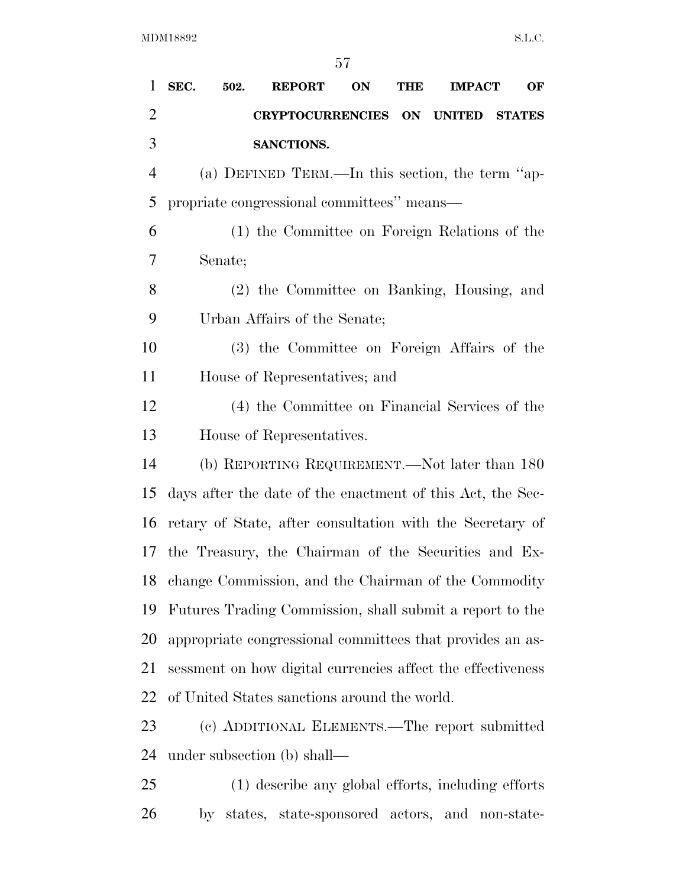| $\mathbf{1}$   | SEC.<br>502.                                                | <b>REPORT</b>                     | ON | <b>THE</b> | <b>IMPACT</b> | OF |  |
|----------------|-------------------------------------------------------------|-----------------------------------|----|------------|---------------|----|--|
| $\overline{2}$ |                                                             | CRYPTOCURRENCIES ON UNITED STATES |    |            |               |    |  |
| 3              | SANCTIONS.                                                  |                                   |    |            |               |    |  |
| $\overline{4}$ | (a) DEFINED TERM.—In this section, the term "ap-            |                                   |    |            |               |    |  |
| 5              | propriate congressional committees" means—                  |                                   |    |            |               |    |  |
| 6              | (1) the Committee on Foreign Relations of the               |                                   |    |            |               |    |  |
| 7              | Senate;                                                     |                                   |    |            |               |    |  |
| 8              | (2) the Committee on Banking, Housing, and                  |                                   |    |            |               |    |  |
| 9              | Urban Affairs of the Senate;                                |                                   |    |            |               |    |  |
| 10             | (3) the Committee on Foreign Affairs of the                 |                                   |    |            |               |    |  |
| 11             | House of Representatives; and                               |                                   |    |            |               |    |  |
| 12             | (4) the Committee on Financial Services of the              |                                   |    |            |               |    |  |
| 13             | House of Representatives.                                   |                                   |    |            |               |    |  |
| 14             | (b) REPORTING REQUIREMENT.—Not later than 180               |                                   |    |            |               |    |  |
| 15             | days after the date of the enactment of this Act, the Sec-  |                                   |    |            |               |    |  |
| 16             | retary of State, after consultation with the Secretary of   |                                   |    |            |               |    |  |
| 17             | the Treasury, the Chairman of the Securities and Ex-        |                                   |    |            |               |    |  |
|                | 18 change Commission, and the Chairman of the Commodity     |                                   |    |            |               |    |  |
| 19             | Futures Trading Commission, shall submit a report to the    |                                   |    |            |               |    |  |
| 20             | appropriate congressional committees that provides an as-   |                                   |    |            |               |    |  |
| 21             | sessment on how digital currencies affect the effectiveness |                                   |    |            |               |    |  |
| 22             | of United States sanctions around the world.                |                                   |    |            |               |    |  |
| 23             | (c) ADDITIONAL ELEMENTS.—The report submitted               |                                   |    |            |               |    |  |
| 24             | under subsection (b) shall—                                 |                                   |    |            |               |    |  |
| 25             | (1) describe any global efforts, including efforts          |                                   |    |            |               |    |  |

by states, state-sponsored actors, and non-state-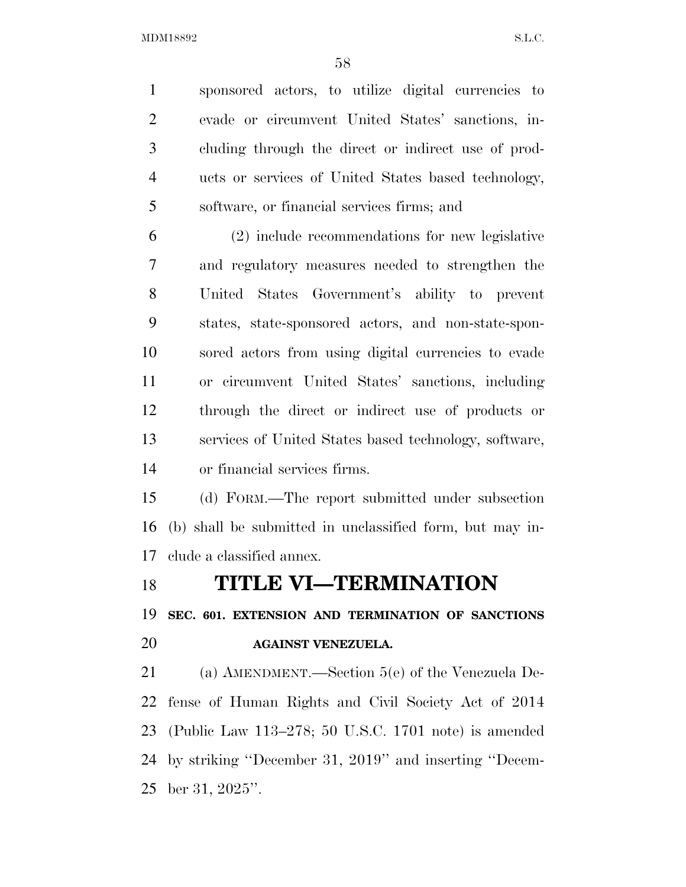sponsored actors, to utilize digital currencies to evade or circumvent United States' sanctions, in- cluding through the direct or indirect use of prod- ucts or services of United States based technology, software, or financial services firms; and

 (2) include recommendations for new legislative and regulatory measures needed to strengthen the United States Government's ability to prevent states, state-sponsored actors, and non-state-spon- sored actors from using digital currencies to evade or circumvent United States' sanctions, including through the direct or indirect use of products or services of United States based technology, software, or financial services firms.

 (d) FORM.—The report submitted under subsection (b) shall be submitted in unclassified form, but may in-clude a classified annex.

### **TITLE VI—TERMINATION**

**SEC. 601. EXTENSION AND TERMINATION OF SANCTIONS** 

### **AGAINST VENEZUELA.**

 (a) AMENDMENT.—Section 5(e) of the Venezuela De- fense of Human Rights and Civil Society Act of 2014 (Public Law 113–278; 50 U.S.C. 1701 note) is amended by striking ''December 31, 2019'' and inserting ''Decem-ber 31, 2025''.